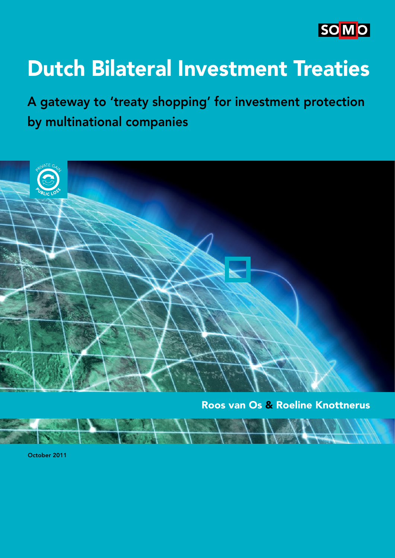

# Dutch Bilateral Investment Treaties

A gateway to 'treaty shopping' for investment protection by multinational companies



Roos van Os & Roeline Knottnerus

October 2011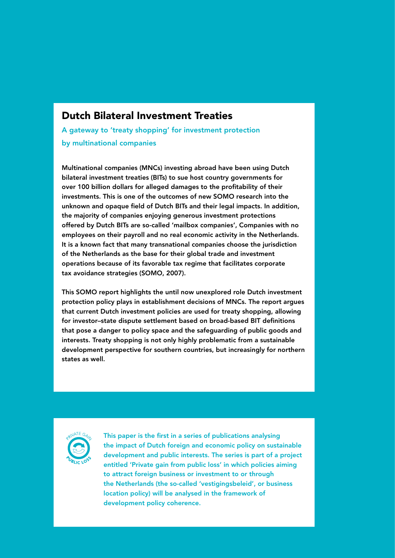## Dutch Bilateral Investment Treaties

A gateway to 'treaty shopping' for investment protection by multinational companies

Multinational companies (MNCs) investing abroad have been using Dutch bilateral investment treaties (BITs) to sue host country governments for over 100 billion dollars for alleged damages to the profitability of their investments. This is one of the outcomes of new SOMO research into the unknown and opaque field of Dutch BITs and their legal impacts. In addition, the majority of companies enjoying generous investment protections offered by Dutch BITs are so-called 'mailbox companies', Companies with no employees on their payroll and no real economic activity in the Netherlands. It is a known fact that many transnational companies choose the jurisdiction of the Netherlands as the base for their global trade and investment operations because of its favorable tax regime that facilitates corporate tax avoidance strategies (SOMO, 2007).

This SOMO report highlights the until now unexplored role Dutch investment protection policy plays in establishment decisions of MNCs. The report argues that current Dutch investment policies are used for treaty shopping, allowing for investor-state dispute settlement based on broad-based BIT definitions that pose a danger to policy space and the safeguarding of public goods and interests. Treaty shopping is not only highly problematic from a sustainable development perspective for southern countries, but increasingly for northern states as well.



This paper is the first in a series of publications analysing the impact of Dutch foreign and economic policy on sustainable development and public interests. The series is part of a project entitled 'Private gain from public loss' in which policies aiming to attract foreign business or investment to or through the Netherlands (the so-called 'vestigingsbeleid', or business location policy) will be analysed in the framework of development policy coherence.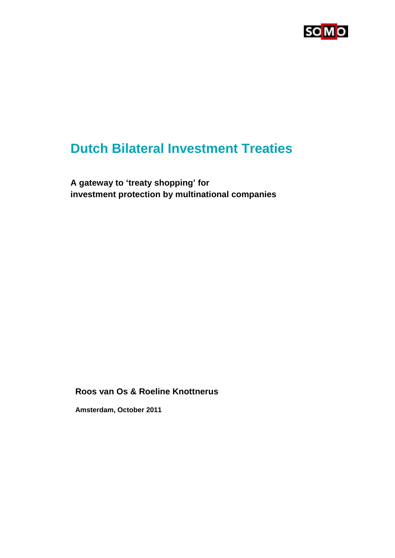

## **Dutch Bilateral Investment Treaties**

**A gateway to "treaty shopping" for investment protection by multinational companies**

**Roos van Os & Roeline Knottnerus**

**Amsterdam, October 2011**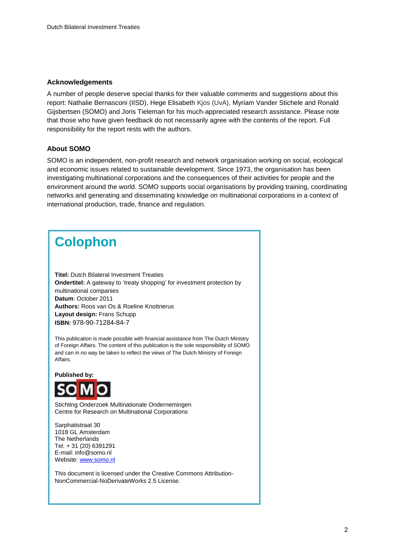#### **Acknowledgements**

A number of people deserve special thanks for their valuable comments and suggestions about this report: Nathalie Bernasconi (IISD), Hege Elisabeth Kjos (UvA), Myriam Vander Stichele and Ronald Gijsbertsen (SOMO) and Joris Tieleman for his much-appreciated research assistance. Please note that those who have given feedback do not necessarily agree with the contents of the report. Full responsibility for the report rests with the authors.

#### **About SOMO**

SOMO is an independent, non-profit research and network organisation working on social, ecological and economic issues related to sustainable development. Since 1973, the organisation has been investigating multinational corporations and the consequences of their activities for people and the environment around the world. SOMO supports social organisations by providing training, coordinating networks and generating and disseminating knowledge on multinational corporations in a context of international production, trade, finance and regulation.

## **Colophon**

**Titel:** Dutch Bilateral Investment Treaties **Ondertitel:** A gateway to 'treaty shopping' for investment protection by multinational companies **Datum**: October 2011 **Authors:** Roos van Os & Roeline Knottnerus **Layout design:** Frans Schupp **ISBN:** 978-90-71284-84-7

This publication is made possible with financial assistance from The Dutch Ministry of Foreign Affairs. The content of this publication is the sole responsibility of SOMO and can in no way be taken to reflect the views of The Dutch Ministry of Foreign Affairs.

**Published by:**



Stichting Onderzoek Multinationale Ondernemingen Centre for Research on Multinational Corporations

Sarphatistraat 30 1018 GL Amsterdam The Netherlands Tel: + 31 (20) 6391291 E-mail: info@somo.nl Website: [www.somo.nl](http://www.somo.nl/)

This document is licensed under the Creative Commons Attribution-NonCommercial-NoDerivateWorks 2.5 License.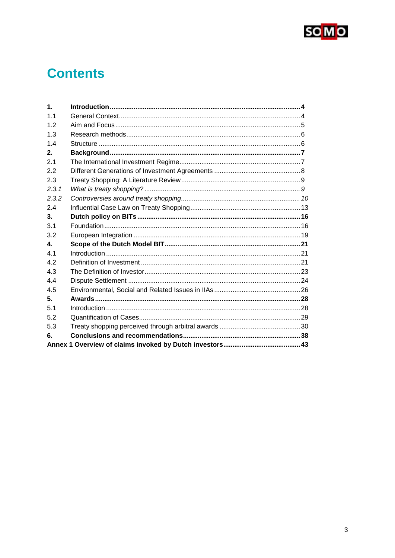

## **Contents**

| $\mathbf 1$ . |  |
|---------------|--|
| 1.1           |  |
| 1.2           |  |
| 1.3           |  |
| 1.4           |  |
| 2.            |  |
| 2.1           |  |
| 2.2           |  |
| 2.3           |  |
| 2.3.1         |  |
| 2.3.2         |  |
| 2.4           |  |
| 3.            |  |
| 3.1           |  |
| 3.2           |  |
| $\mathbf{A}$  |  |
| 41            |  |
| 4.2           |  |
| 4.3           |  |
| 4.4           |  |
| 4.5           |  |
| 5.            |  |
| 5.1           |  |
| 5.2           |  |
| 5.3           |  |
| 6.            |  |
|               |  |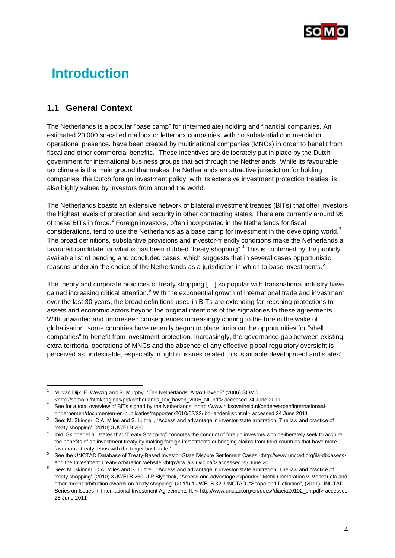

## <span id="page-5-0"></span>**Introduction**

## <span id="page-5-1"></span>**1.1 General Context**

l

The Netherlands is a popular "base camp" for (intermediate) holding and financial companies. An estimated 20,000 so-called mailbox or letterbox companies, with no substantial commercial or operational presence, have been created by multinational companies (MNCs) in order to benefit from fiscal and other commercial benefits.<sup>1</sup> These incentives are deliberately put in place by the Dutch government for international business groups that act through the Netherlands. While its favourable tax climate is the main ground that makes the Netherlands an attractive jurisdiction for holding companies, the Dutch foreign investment policy, with its extensive investment protection treaties, is also highly valued by investors from around the world.

The Netherlands boasts an extensive network of bilateral investment treaties (BITs) that offer investors the highest levels of protection and security in other contracting states. There are currently around 95 of these BITs in force.<sup>2</sup> Foreign investors, often incorporated in the Netherlands for fiscal considerations, tend to use the Netherlands as a base camp for investment in the developing world. $3$ The broad definitions, substantive provisions and investor-friendly conditions make the Netherlands a favoured candidate for what is has been dubbed "treaty shopping".<sup>4</sup> This is confirmed by the publicly available list of pending and concluded cases, which suggests that in several cases opportunistic reasons underpin the choice of the Netherlands as a jurisdiction in which to base investments. $^5$ 

The theory and corporate practices of treaty shopping […] so popular with transnational industry have gained increasing critical attention.<sup>6</sup> With the exponential growth of international trade and investment over the last 30 years, the broad definitions used in BITs are extending far-reaching protections to assets and economic actors beyond the original intentions of the signatories to these agreements. With unwanted and unforeseen consequences increasingly coming to the fore in the wake of globalisation, some countries have recently begun to place limits on the opportunities for "shell companies" to benefit from investment protection. Increasingly, the governance gap between existing extra-territorial operations of MNCs and the absence of any effective global regulatory oversight is perceived as undesirable, especially in light of issues related to sustainable development and states"

<sup>1</sup> M. van Dijk, F. Weyzig and R. Murphy, "The Netherlands: A tax Haven?" (2006) SOMO, <http://somo.nl/html/paginas/pdf/netherlands\_tax\_haven\_2006\_NL.pdf> accessed 24 June 2011

See for a total overview of BITs signed by the Netherlands: [<http://www.rijksoverheid.nl/onderwerpen/internationaal](http://www.rijksoverheid.nl/onderwerpen/internationaal-ondernemen/documenten-en-publicaties/rapporten/2010/02/22/ibo-landenlijst.html)[ondernemen/documenten-en-publicaties/rapporten/2010/02/22/ibo-landenlijst.html>](http://www.rijksoverheid.nl/onderwerpen/internationaal-ondernemen/documenten-en-publicaties/rapporten/2010/02/22/ibo-landenlijst.html) accessed 24 June 2011

See: M. Skinner, C.A. Miles and S. Luttrell, "Access and advantage in investor-state arbitration: The law and practice of treaty shopping" (2010) 3 JWELB 260

<sup>4</sup> Ibid; Skinner et al. states that "Treaty Shopping" connotes the conduct of foreign investors who deliberately seek to acquire the benefits of an investment treaty by making foreign investments or bringing claims from third countries that have more favourable treaty terms with the target host state."

<sup>5</sup> See the UNCTAD Database of Treaty-Based Investor-State Dispute Settlement Cases [<http://www.unctad.org/iia-dbcases/>](http://www.unctad.org/iia-dbcases/) and the Investment Treaty Arbitration website [<http://ita.law.uvic.ca/>](http://ita.law.uvic.ca/) accessed 25 June 2011

<sup>6</sup> See: M. Skinner, C.A. Miles and S. Luttrell, "Access and advantage in investor-state arbitration: The law and practice of treaty shopping" (2010) 3 JWELB 260; J.P Blyschak, "Access and advantage expanded: Mobil Corporation v. Venezuela and other recent arbitration awards on treaty shopping" (2011) 1 JWELB 32; UNCTAD, "Scope and Definition", (2011) UNCTAD Series on Issues in International Investment Agreements II, < [http://www.unctad.org/en/docs//diaeia20102\\_en.pdf>](http://www.unctad.org/en/docs/diaeia20102_en.pdf) accessed 25 June 2011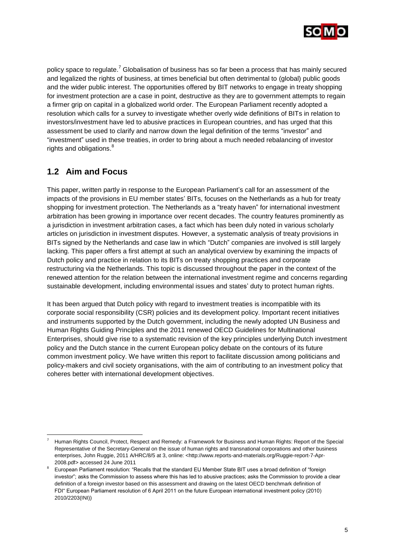

policy space to regulate.<sup>7</sup> Globalisation of business has so far been a process that has mainly secured and legalized the rights of business, at times beneficial but often detrimental to (global) public goods and the wider public interest. The opportunities offered by BIT networks to engage in treaty shopping for investment protection are a case in point, destructive as they are to government attempts to regain a firmer grip on capital in a globalized world order. The European Parliament recently adopted a resolution which calls for a survey to investigate whether overly wide definitions of BITs in relation to investors/investment have led to abusive practices in European countries, and has urged that this assessment be used to clarify and narrow down the legal definition of the terms "investor" and "investment" used in these treaties, in order to bring about a much needed rebalancing of investor rights and obligations.<sup>8</sup>

## <span id="page-6-0"></span>**1.2 Aim and Focus**

<span id="page-6-1"></span>l

This paper, written partly in response to the European Parliament"s call for an assessment of the impacts of the provisions in EU member states" BITs, focuses on the Netherlands as a hub for treaty shopping for investment protection. The Netherlands as a "treaty haven" for international investment arbitration has been growing in importance over recent decades. The country features prominently as a jurisdiction in investment arbitration cases, a fact which has been duly noted in various scholarly articles on jurisdiction in investment disputes. However, a systematic analysis of treaty provisions in BITs signed by the Netherlands and case law in which "Dutch" companies are involved is still largely lacking. This paper offers a first attempt at such an analytical overview by examining the impacts of Dutch policy and practice in relation to its BITs on treaty shopping practices and corporate restructuring via the Netherlands. This topic is discussed throughout the paper in the context of the renewed attention for the relation between the international investment regime and concerns regarding sustainable development, including environmental issues and states' duty to protect human rights.

It has been argued that Dutch policy with regard to investment treaties is incompatible with its corporate social responsibility (CSR) policies and its development policy. Important recent initiatives and instruments supported by the Dutch government, including the newly adopted UN Business and Human Rights Guiding Principles and the 2011 renewed OECD Guidelines for Multinational Enterprises, should give rise to a systematic revision of the key principles underlying Dutch investment policy and the Dutch stance in the current European policy debate on the contours of its future common investment policy. We have written this report to facilitate discussion among politicians and policy-makers and civil society organisations, with the aim of contributing to an investment policy that coheres better with international development objectives.

<sup>7</sup> Human Rights Council, Protect, Respect and Remedy: a Framework for Business and Human Rights: Report of the Special Representative of the Secretary-General on the issue of human rights and transnational corporations and other business enterprises, John Ruggie, 2011 A/HRC/8/5 at 3, online: <http://www.reports-and-materials.org/Ruggie-report-7-Apr-2008.pdf> accessed 24 June 2011

<sup>8</sup> European Parliament resolution: "Recalls that the standard EU Member State BIT uses a broad definition of "foreign investor"; asks the Commission to assess where this has led to abusive practices; asks the Commission to provide a clear definition of a foreign investor based on this assessment and drawing on the latest OECD benchmark definition of FDI" European Parliament resolution of 6 April 2011 on the future European international investment policy (2010) 2010/2203(INI))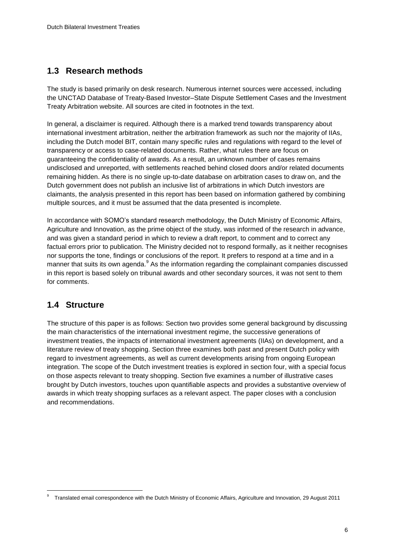### **1.3 Research methods**

The study is based primarily on desk research. Numerous internet sources were accessed, including the UNCTAD Database of Treaty-Based Investor–State Dispute Settlement Cases and the Investment Treaty Arbitration website. All sources are cited in footnotes in the text.

In general, a disclaimer is required. Although there is a marked trend towards transparency about international investment arbitration, neither the arbitration framework as such nor the majority of IIAs, including the Dutch model BIT, contain many specific rules and regulations with regard to the level of transparency or access to case-related documents. Rather, what rules there are focus on guaranteeing the confidentiality of awards. As a result, an unknown number of cases remains undisclosed and unreported, with settlements reached behind closed doors and/or related documents remaining hidden. As there is no single up-to-date database on arbitration cases to draw on, and the Dutch government does not publish an inclusive list of arbitrations in which Dutch investors are claimants, the analysis presented in this report has been based on information gathered by combining multiple sources, and it must be assumed that the data presented is incomplete.

In accordance with SOMO"s standard research methodology, the Dutch Ministry of Economic Affairs, Agriculture and Innovation, as the prime object of the study, was informed of the research in advance, and was given a standard period in which to review a draft report, to comment and to correct any factual errors prior to publication. The Ministry decided not to respond formally, as it neither recognises nor supports the tone, findings or conclusions of the report. It prefers to respond at a time and in a manner that suits its own agenda.<sup>9</sup> As the information regarding the complainant companies discussed in this report is based solely on tribunal awards and other secondary sources, it was not sent to them for comments.

## <span id="page-7-0"></span>**1.4 Structure**

l

The structure of this paper is as follows: Section two provides some general background by discussing the main characteristics of the international investment regime, the successive generations of investment treaties, the impacts of international investment agreements (IIAs) on development, and a literature review of treaty shopping. Section three examines both past and present Dutch policy with regard to investment agreements, as well as current developments arising from ongoing European integration. The scope of the Dutch investment treaties is explored in section four, with a special focus on those aspects relevant to treaty shopping. Section five examines a number of illustrative cases brought by Dutch investors, touches upon quantifiable aspects and provides a substantive overview of awards in which treaty shopping surfaces as a relevant aspect. The paper closes with a conclusion and recommendations.

<sup>9</sup> Translated email correspondence with the Dutch Ministry of Economic Affairs, Agriculture and Innovation, 29 August 2011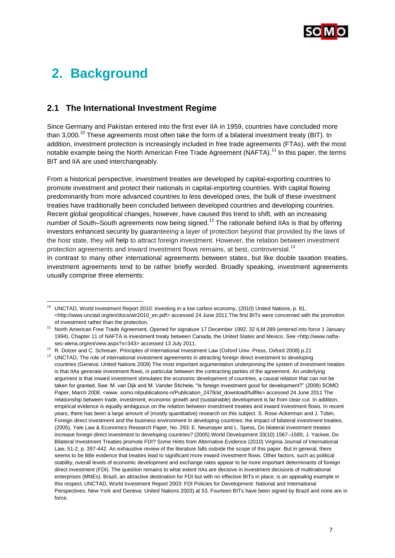

## <span id="page-8-0"></span>**2. Background**

### <span id="page-8-1"></span>**2.1 The International Investment Regime**

Since Germany and Pakistan entered into the first ever IIA in 1959, countries have concluded more than 3,000.<sup>10</sup> These agreements most often take the form of a bilateral investment treaty (BIT). In addition, investment protection is increasingly included in free trade agreements (FTAs), with the most notable example being the North American Free Trade Agreement (NAFTA).<sup>11</sup> In this paper, the terms BIT and IIA are used interchangeably.

From a historical perspective, investment treaties are developed by capital-exporting countries to promote investment and protect their nationals in capital-importing countries. With capital flowing predominantly from more advanced countries to less developed ones, the bulk of these investment treaties have traditionally been concluded between developed countries and developing countries. Recent global geopolitical changes, however, have caused this trend to shift, with an increasing number of South–South agreements now being signed.<sup>12</sup> The rationale behind IIAs is that by offering investors enhanced security by guaranteeing a layer of protection beyond that provided by the laws of the host state, they will help to attract foreign investment. However, the relation between investment protection agreements and inward investment flows remains, at best, controversial.<sup>13</sup>

In contrast to many other international agreements between states, but like double taxation treaties, investment agreements tend to be rather briefly worded. Broadly speaking, investment agreements usually comprise three elements:

l <sup>10</sup> UNCTAD, World Investment Report 2010: investing in a low carbon economy, (2010) United Nations, p. 81, [<http://www.unctad.org/en/docs/wir2010\\_en.pdf>](http://www.unctad.org/en/docs/wir2010_en.pdf) accessed 24 June 2011 The first BITs were concerned with the promotion of investment rather than the protection.

<sup>11</sup> North American Free Trade Agreement, Opened for signature 17 December 1992, 32 ILM 289 (entered into force 1 January 1994). Chapter 11 of NAFTA is investment treaty between Canada, the United States and Mexico. See <http://www.naftasec-alena.org/en/view.aspx?x=343> accessed 13 July 2011.

<sup>&</sup>lt;sup>12</sup> R. Dolzer and C. Schreuer, Principles of International Investment Law (Oxford Univ. Press, Oxford 2008) p.21

<sup>&</sup>lt;sup>13</sup> UNCTAD, The role of international investment agreements in attracting foreign direct investment to developing countries (Geneva: United Nations 2009) The most important argumentation underpinning the system of investment treaties is that IIAs generate investment flows, in particular between the contracting parties of the agreement. An underlying argument is that inward investment stimulates the economic development of countries, a causal relation that can not be taken for granted. See: M. van Dijk and M. Vander Stichele, "Is foreign investment good for development?" (2008) SOMO Paper, March 2008. <www. somo.nl/publications-n/Publication\_2478/at\_download/fullfile> accessed 24 June 2011 The relationship between trade, investment, economic growth and (sustainable) development is far from clear-cut. In addition, empirical evidence is equally ambiguous on the relation between investment treaties and inward investment flows. In recent years, there has been a large amount of (mostly quantitative) research on this subject. S. Rose-Ackerman and J. Tobin, Foreign direct investment and the business environment in developing countries: the impact of bilateral investment treaties, (2005), Yale Law & Economics Research Paper, No. 293; E. Neumayer and L. Spess, Do bilateral investment treaties increase foreign direct investment to developing countries? (2005) World Development 33(10) 1567–1585; J. Yackee, Do Bilateral Investment Treaties promote FDI? Some Hints from Alternative Evidence (2010) Virginia Journal of International Law, 51-2, p. 397-442. An exhaustive review of the literature falls outside the scope of this paper. But in general, there seems to be little evidence that treaties lead to significant more inward investment flows. Other factors, such as political stability, overall levels of economic development and exchange rates appear to be more important determinants of foreign direct investment (FDI). The question remains to what extent IIAs are decisive in investment decisions of multinational enterprises (MNEs). Brazil, an attractive destination for FDI but with no effective BITs in place, is an appealing example in this respect. UNCTAD, World Investment Report 2003: FDI Policies for Development: National and International Perspectives. New York and Geneva: United Nations 2003) at 53. Fourteen BITs have been signed by Brazil and none are in force.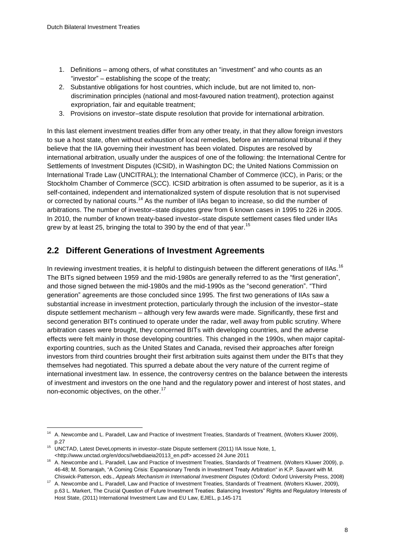- 1. Definitions among others, of what constitutes an "investment" and who counts as an "investor" – establishing the scope of the treaty;
- 2. Substantive obligations for host countries, which include, but are not limited to, nondiscrimination principles (national and most-favoured nation treatment), protection against expropriation, fair and equitable treatment;
- 3. Provisions on investor–state dispute resolution that provide for international arbitration.

In this last element investment treaties differ from any other treaty, in that they allow foreign investors to sue a host state, often without exhaustion of local remedies, before an international tribunal if they believe that the IIA governing their investment has been violated. Disputes are resolved by international arbitration, usually under the auspices of one of the following: the International Centre for Settlements of Investment Disputes (ICSID), in Washington DC; the United Nations Commission on International Trade Law (UNCITRAL); the International Chamber of Commerce (ICC), in Paris; or the Stockholm Chamber of Commerce (SCC). ICSID arbitration is often assumed to be superior, as it is a self-contained, independent and internationalized system of dispute resolution that is not supervised or corrected by national courts.<sup>14</sup> As the number of IIAs began to increase, so did the number of arbitrations. The number of investor–state disputes grew from 6 known cases in 1995 to 226 in 2005. In 2010, the number of known treaty-based investor–state dispute settlement cases filed under IIAs grew by at least 25, bringing the total to 390 by the end of that year.<sup>15</sup>

### <span id="page-9-0"></span>**2.2 Different Generations of Investment Agreements**

In reviewing investment treaties, it is helpful to distinguish between the different generations of IIAs.<sup>16</sup> The BITs signed between 1959 and the mid-1980s are generally referred to as the "first generation", and those signed between the mid-1980s and the mid-1990s as the "second generation". "Third generation" agreements are those concluded since 1995. The first two generations of IIAs saw a substantial increase in investment protection, particularly through the inclusion of the investor–state dispute settlement mechanism – although very few awards were made. Significantly, these first and second generation BITs continued to operate under the radar, well away from public scrutiny. Where arbitration cases were brought, they concerned BITs with developing countries, and the adverse effects were felt mainly in those developing countries. This changed in the 1990s, when major capitalexporting countries, such as the United States and Canada, revised their approaches after foreign investors from third countries brought their first arbitration suits against them under the BITs that they themselves had negotiated. This spurred a debate about the very nature of the current regime of international investment law. In essence, the controversy centres on the balance between the interests of investment and investors on the one hand and the regulatory power and interest of host states, and non-economic objectives, on the other.<sup>17</sup>

<sup>14</sup> A. Newcombe and L. Paradell, Law and Practice of Investment Treaties, Standards of Treatment, (Wolters Kluwer 2009), p.27

<sup>15</sup> UNCTAD, Latest DeveLopments in investor–state Dispute settlement (2011) IIA Issue Note, 1, [<http://www.unctad.org/en/docs//webdiaeia20113\\_en.pdf>](http://www.unctad.org/en/docs/webdiaeia20113_en.pdf) accessed 24 June 2011

<sup>&</sup>lt;sup>16</sup> A. Newcombe and L. Paradell, Law and Practice of Investment Treaties, Standards of Treatment. (Wolters Kluwer 2009), p. 46-48; M. Sornarajah, "A Coming Crisis: Expansionary Trends in Investment Treaty Arbitration" in K.P. Sauvant with M. Chiswick-Patterson, eds., *Appeals Mechanism in International Investment Disputes* (Oxford: Oxford University Press, 2008)

<sup>17</sup> A. Newcombe and L. Paradell, Law and Practice of Investment Treaties, Standards of Treatment. (Wolters Kluwer, 2009), p.63 L. Markert, The Crucial Question of Future Investment Treaties: Balancing Investors" Rights and Regulatory Interests of Host State, (2011[\) International Investment Law and EU Law,](http://www.springerlink.com/content/978-3-642-14854-5/) EJIEL, p.145-171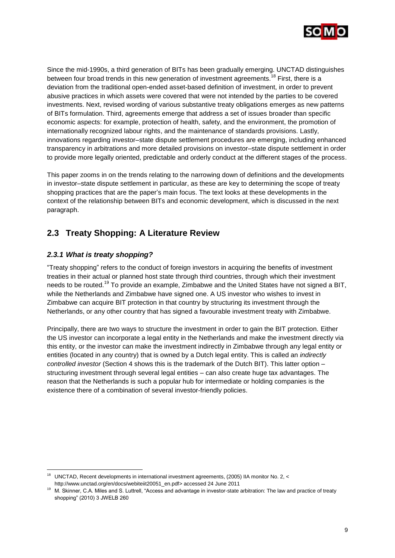

Since the mid-1990s, a third generation of BITs has been gradually emerging. UNCTAD distinguishes between four broad trends in this new generation of investment agreements.<sup>18</sup> First, there is a deviation from the traditional open-ended asset-based definition of investment, in order to prevent abusive practices in which assets were covered that were not intended by the parties to be covered investments. Next, revised wording of various substantive treaty obligations emerges as new patterns of BITs formulation. Third, agreements emerge that address a set of issues broader than specific economic aspects: for example, protection of health, safety, and the environment, the promotion of internationally recognized labour rights, and the maintenance of standards provisions. Lastly, innovations regarding investor–state dispute settlement procedures are emerging, including enhanced transparency in arbitrations and more detailed provisions on investor–state dispute settlement in order to provide more legally oriented, predictable and orderly conduct at the different stages of the process.

This paper zooms in on the trends relating to the narrowing down of definitions and the developments in investor–state dispute settlement in particular, as these are key to determining the scope of treaty shopping practices that are the paper"s main focus. The text looks at these developments in the context of the relationship between BITs and economic development, which is discussed in the next paragraph.

## <span id="page-10-0"></span>**2.3 Treaty Shopping: A Literature Review**

### <span id="page-10-1"></span>*2.3.1 What is treaty shopping?*

l

"Treaty shopping" refers to the conduct of foreign investors in acquiring the benefits of investment treaties in their actual or planned host state through third countries, through which their investment needs to be routed.<sup>19</sup> To provide an example, Zimbabwe and the United States have not signed a BIT, while the Netherlands and Zimbabwe have signed one. A US investor who wishes to invest in Zimbabwe can acquire BIT protection in that country by structuring its investment through the Netherlands, or any other country that has signed a favourable investment treaty with Zimbabwe.

Principally, there are two ways to structure the investment in order to gain the BIT protection. Either the US investor can incorporate a legal entity in the Netherlands and make the investment directly via this entity, or the investor can make the investment indirectly in Zimbabwe through any legal entity or entities (located in any country) that is owned by a Dutch legal entity. This is called an *indirectly controlled investor* (Section 4 shows this is the trademark of the Dutch BIT). This latter option – structuring investment through several legal entities – can also create huge tax advantages. The reason that the Netherlands is such a popular hub for intermediate or holding companies is the existence there of a combination of several investor-friendly policies.

<sup>&</sup>lt;sup>18</sup> UNCTAD. Recent developments in international investment agreements, (2005) IIA monitor No. 2, < [http://www.unctad.org/en/docs/webiteiit20051\\_en.pdf>](http://www.unctad.org/en/docs/webiteiit20051_en.pdf) accessed 24 June 2011

<sup>&</sup>lt;sup>19</sup> M. Skinner, C.A. Miles and S. Luttrell, "Access and advantage in investor-state arbitration: The law and practice of treaty shopping" (2010) 3 JWELB 260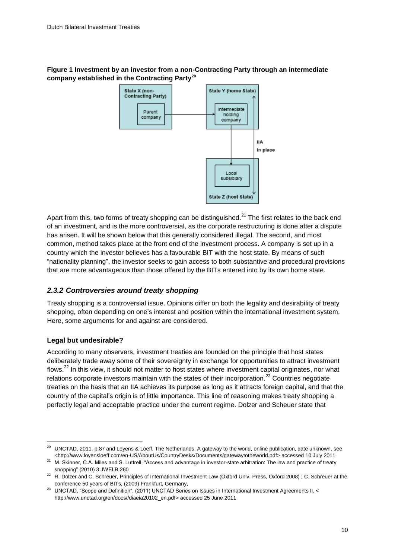#### **Figure 1 Investment by an investor from a non-Contracting Party through an intermediate company established in the Contracting Party<sup>20</sup>**



Apart from this, two forms of treaty shopping can be distinguished.<sup>21</sup> The first relates to the back end of an investment, and is the more controversial, as the corporate restructuring is done after a dispute has arisen. It will be shown below that this generally considered illegal. The second, and most common, method takes place at the front end of the investment process. A company is set up in a country which the investor believes has a favourable BIT with the host state. By means of such "nationality planning", the investor seeks to gain access to both substantive and procedural provisions that are more advantageous than those offered by the BITs entered into by its own home state.

### <span id="page-11-0"></span>*2.3.2 Controversies around treaty shopping*

Treaty shopping is a controversial issue. Opinions differ on both the legality and desirability of treaty shopping, often depending on one"s interest and position within the international investment system. Here, some arguments for and against are considered.

### **Legal but undesirable?**

l

According to many observers, investment treaties are founded on the principle that host states deliberately trade away some of their sovereignty in exchange for opportunities to attract investment flows.<sup>22</sup> In this view, it should not matter to host states where investment capital originates, nor what relations corporate investors maintain with the states of their incorporation.<sup>23</sup> Countries negotiate treaties on the basis that an IIA achieves its purpose as long as it attracts foreign capital, and that the country of the capital"s origin is of little importance. This line of reasoning makes treaty shopping a perfectly legal and acceptable practice under the current regime. Dolzer and Scheuer state that

<sup>20</sup> UNCTAD, 2011. p.87 and Loyens & Loeff, The Netherlands, A gateway to the world, online publication, date unknown, see [<http://www.loyensloeff.com/en-US/AboutUs/CountryDesks/Documents/gatewaytotheworld.pdf>](http://www.loyensloeff.com/en-US/AboutUs/CountryDesks/Documents/gatewaytotheworld.pdf) accessed 10 July 2011

<sup>&</sup>lt;sup>21</sup> M. Skinner, C.A. Miles and S. Luttrell, "Access and advantage in investor-state arbitration: The law and practice of treaty shopping" (2010) 3 JWELB 260

<sup>&</sup>lt;sup>22</sup> R. Dolzer and C. Schreuer, Principles of International Investment Law (Oxford Univ. Press, Oxford 2008) ; C. Schreuer at the conference 50 years of BITs, (2009) Frankfurt, Germany,

<sup>&</sup>lt;sup>23</sup> UNCTAD, "Scope and Definition", (2011) UNCTAD Series on Issues in International Investment Agreements II, < [http://www.unctad.org/en/docs//diaeia20102\\_en.pdf>](http://www.unctad.org/en/docs/diaeia20102_en.pdf) accessed 25 June 2011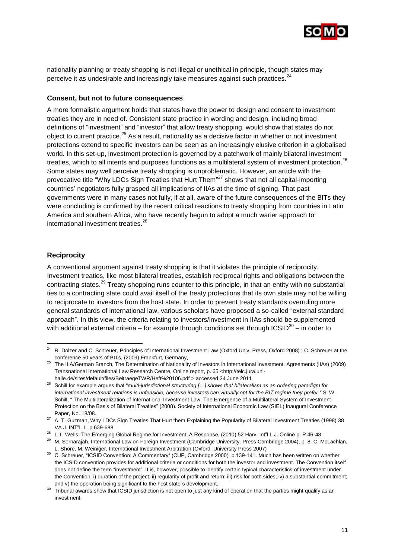

nationality planning or treaty shopping is not illegal or unethical in principle, though states may perceive it as undesirable and increasingly take measures against such practices. $^{24}$ 

#### **Consent, but not to future consequences**

A more formalistic argument holds that states have the power to design and consent to investment treaties they are in need of. Consistent state practice in wording and design, including broad definitions of "investment" and "investor" that allow treaty shopping, would show that states do not object to current practice.<sup>25</sup> As a result, nationality as a decisive factor in whether or not investment protections extend to specific investors can be seen as an increasingly elusive criterion in a globalised world. In this set-up, investment protection is governed by a patchwork of mainly bilateral investment treaties, which to all intents and purposes functions as a multilateral system of investment protection.<sup>26</sup> Some states may well perceive treaty shopping is unproblematic. However, an article with the provocative title "Why LDCs Sign Treaties that Hurt Them"<sup>27</sup> shows that not all capital-importing countries" negotiators fully grasped all implications of IIAs at the time of signing. That past governments were in many cases not fully, if at all, aware of the future consequences of the BITs they were concluding is confirmed by the recent critical reactions to treaty shopping from countries in Latin America and southern Africa, who have recently begun to adopt a much warier approach to international investment treaties.<sup>28</sup>

#### **Reciprocity**

l

A conventional argument against treaty shopping is that it violates the principle of reciprocity. Investment treaties, like most bilateral treaties, establish reciprocal rights and obligations between the contracting states.<sup>29</sup> Treaty shopping runs counter to this principle, in that an entity with no substantial ties to a contracting state could avail itself of the treaty protections that its own state may not be willing to reciprocate to investors from the host state. In order to prevent treaty standards overruling more general standards of international law, various scholars have proposed a so-called "external standard approach". In this view, the criteria relating to investors/investment in IIAs should be supplemented with additional external criteria – for example through conditions set through ICSID<sup>30</sup> – in order to

<sup>&</sup>lt;sup>24</sup> R. Dolzer and C. Schreuer, Principles of International Investment Law (Oxford Univ. Press, Oxford 2008) ; C. Schreuer at the conference 50 years of BITs, (2009) Frankfurt, Germany,

<sup>25</sup> The ILA/German Branch, The Determination of Nationality of Investors in International Investment. Agreements (IIAs) (2009) Transnational International Law Research Centre, Online report, p. 65 [<http://telc.jura.uni-](http://telc.jura.uni-halle.de/sites/default/files/BeitraegeTWR/Heft%20106.pdf)

[halle.de/sites/default/files/BeitraegeTWR/Heft%20106.pdf](http://telc.jura.uni-halle.de/sites/default/files/BeitraegeTWR/Heft%20106.pdf) > accessed 24 June 2011

<sup>26</sup> Schill for example argues that "m*ulti-jurisdictional structuring […] shows that bilateralism as an ordering paradigm for international investment relations is unfeasible, because investors can virtually opt for the BIT regime they prefer."* S. W. Schill, " The Multilateralization of International Investment Law: The Emergence of a Multilateral System of Investment Protection on the Basis of Bilateral Treaties" (2008). Society of International Economic Law (SIEL) Inaugural Conference Paper, No. 18/08.

<sup>&</sup>lt;sup>27</sup> A. T. Guzman, Why LDCs Sign Treaties That Hurt them Explaining the Popularity of Bilateral Investment Treaties (1998) 38 VA J. INT"L L. p.639-688

<sup>&</sup>lt;sup>28</sup> L.T. Wells, The Emerging Global Regime for Investment: A Response, (2010) 52 Harv. Int"l L.J. Online p. P.46-48

<sup>29</sup> M. Sornarajah, International Law on Foreign Investment (Cambridge University. Press Cambridge 2004), p. 8; C. McLachlan, L. Shore, M. Weiniger, International Investment Arbitration (Oxford. University Press 2007)

<sup>&</sup>lt;sup>30</sup> C. Schreuer, "ICSID Convention: A Commentary" (CUP, Cambridge 2000). p.139-141. Much has been written on whether the ICSID convention provides for additional criteria or conditions for both the investor and investment. The Convention itself does not define the term "investment". It is, however, possible to identify certain typical characteristics of investment under the Convention: i) duration of the project; ii) regularity of profit and return; iii) risk for both sides; iv) a substantial commitment; and v) the operation being significant to the host state"s development.

<sup>&</sup>lt;sup>30</sup> Tribunal awards show that ICSID jurisdiction is not open to just any kind of operation that the parties might qualify as an investment.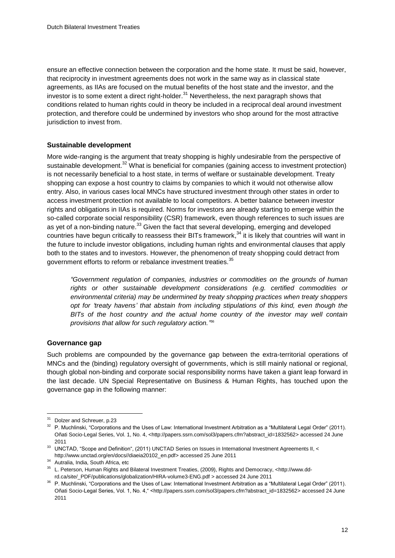ensure an effective connection between the corporation and the home state. It must be said, however, that reciprocity in investment agreements does not work in the same way as in classical state agreements, as IIAs are focused on the mutual benefits of the host state and the investor, and the investor is to some extent a direct right-holder.  $31$  Nevertheless, the next paragraph shows that conditions related to human rights could in theory be included in a reciprocal deal around investment protection, and therefore could be undermined by investors who shop around for the most attractive jurisdiction to invest from.

### **Sustainable development**

More wide-ranging is the argument that treaty shopping is highly undesirable from the perspective of sustainable development.<sup>32</sup> What is beneficial for companies (gaining access to investment protection) is not necessarily beneficial to a host state, in terms of welfare or sustainable development. Treaty shopping can expose a host country to claims by companies to which it would not otherwise allow entry. Also, in various cases local MNCs have structured investment through other states in order to access investment protection not available to local competitors. A better balance between investor rights and obligations in IIAs is required. Norms for investors are already starting to emerge within the so-called corporate social responsibility (CSR) framework, even though references to such issues are as yet of a non-binding nature.<sup>33</sup> Given the fact that several developing, emerging and developed countries have begun critically to reassess their BITs framework, $34$  it is likely that countries will want in the future to include investor obligations, including human rights and environmental clauses that apply both to the states and to investors. However, the phenomenon of treaty shopping could detract from government efforts to reform or rebalance investment treaties.<sup>35</sup>

*"Government regulation of companies, industries or commodities on the grounds of human rights or other sustainable development considerations (e.g. certified commodities or environmental criteria) may be undermined by treaty shopping practices when treaty shoppers opt for "treaty havens" that abstain from including stipulations of this kind, even though the BITs of the host country and the actual home country of the investor may well contain provisions that allow for such regulatory action."* 36

#### **Governance gap**

Such problems are compounded by the governance gap between the extra-territorial operations of MNCs and the (binding) regulatory oversight of governments, which is still mainly national or regional, though global non-binding and corporate social responsibility norms have taken a giant leap forward in the last decade. UN Special Representative on Business & Human Rights, has touched upon the governance gap in the following manner:

<sup>&</sup>lt;sup>31</sup> Dolzer and Schreuer, p.23

<sup>&</sup>lt;sup>32</sup> P. Muchlinski, "Corporations and the Uses of Law: International Investment Arbitration as a "Multilateral Legal Order" (2011). Oñati Socio-Legal Series, Vol. 1, No. 4, [<http://papers.ssrn.com/sol3/papers.cfm?abstract\\_id=1832562>](http://papers.ssrn.com/sol3/papers.cfm?abstract_id=1832562) accessed 24 June 2011

<sup>33</sup> UNCTAD, "Scope and Definition", (2011) UNCTAD Series on Issues in International Investment Agreements II, < [http://www.unctad.org/en/docs//diaeia20102\\_en.pdf>](http://www.unctad.org/en/docs/diaeia20102_en.pdf) accessed 25 June 2011

<sup>&</sup>lt;sup>34</sup> Autralia, India, South Africa, etc

<sup>35</sup> L. Peterson, Human Rights and Bilateral Investment Treaties, (2009), Rights and Democracy, [<http://www.dd](http://www.dd-rd.ca/site/_PDF/publications/globalization/HIRA-volume3-ENG.pdf)[rd.ca/site/\\_PDF/publications/globalization/HIRA-volume3-ENG.pdf](http://www.dd-rd.ca/site/_PDF/publications/globalization/HIRA-volume3-ENG.pdf) > accessed 24 June 2011

<sup>36</sup> P. Muchlinski, "Corporations and the Uses of Law: International Investment Arbitration as a "Multilateral Legal Order" (2011). Oñati Socio-Legal Series, Vol. 1, No. 4," [<http://papers.ssrn.com/sol3/papers.cfm?abstract\\_id=1832562>](http://papers.ssrn.com/sol3/papers.cfm?abstract_id=1832562) accessed 24 June 2011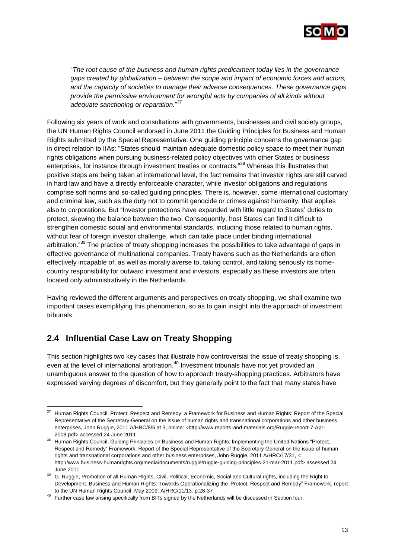

"*The root cause of the business and human rights predicament today lies in the governance gaps created by globalization – between the scope and impact of economic forces and actors, and the capacity of societies to manage their adverse consequences. These governance gaps provide the permissive environment for wrongful acts by companies of all kinds without adequate sanctioning or reparation.*" 37

Following six years of work and consultations with governments, businesses and civil society groups, the UN Human Rights Council endorsed in June 2011 the Guiding Principles for Business and Human Rights submitted by the Special Representative. One guiding principle concerns the governance gap in direct relation to IIAs: "States should maintain adequate domestic policy space to meet their human rights obligations when pursuing business-related policy objectives with other States or business enterprises, for instance through investment treaties or contracts."<sup>38</sup> Whereas this illustrates that positive steps are being taken at international level, the fact remains that investor rights are still carved in hard law and have a directly enforceable character, while investor obligations and regulations comprise soft norms and so-called guiding principles. There is, however, some international customary and criminal law, such as the duty not to commit genocide or crimes against humanity, that applies also to corporations. But "Investor protections have expanded with little regard to States" duties to protect, skewing the balance between the two. Consequently, host States can find it difficult to strengthen domestic social and environmental standards, including those related to human rights, without fear of foreign investor challenge, which can take place under binding international arbitration."<sup>39</sup> The practice of treaty shopping increases the possibilities to take advantage of gaps in effective governance of multinational companies. Treaty havens such as the Netherlands are often effectively incapable of, as well as morally averse to, taking control, and taking seriously its homecountry responsibility for outward investment and investors, especially as these investors are often located only administratively in the Netherlands.

Having reviewed the different arguments and perspectives on treaty shopping, we shall examine two important cases exemplifying this phenomenon, so as to gain insight into the approach of investment tribunals.

## <span id="page-14-0"></span>**2.4 Influential Case Law on Treaty Shopping**

l

This section highlights two key cases that illustrate how controversial the issue of treaty shopping is, even at the level of international arbitration.<sup>40</sup> Investment tribunals have not yet provided an unambiguous answer to the question of how to approach treaty-shopping practices. Arbitrators have expressed varying degrees of discomfort, but they generally point to the fact that many states have

<sup>37</sup> Human Rights Council, Protect, Respect and Remedy: a Framework for Business and Human Rights: Report of the Special Representative of the Secretary-General on the issue of human rights and transnational corporations and other business enterprises, John Ruggie, 2011 A/HRC/8/5 at 3, online: <http://www.reports-and-materials.org/Ruggie-report-7-Apr-2008.pdf> accessed 24 June 2011

<sup>38</sup> Human Rights Council, Guiding Principles on Business and Human Rights: Implementing the United Nations "Protect, Respect and Remedy" Framework, Report of the Special Representative of the Secretary General on the issue of human rights and transnational corporations and other business enterprises, John Ruggie, 2011 A/HRC/17/31, < [http://www.business-humanrights.org/media/documents/ruggie/ruggie-guiding-principles-21-mar-2011.pdf>](http://www.business-humanrights.org/media/documents/ruggie/ruggie-guiding-principles-21-mar-2011.pdf) assessed 24 June 2011

<sup>39</sup> G. Ruggie, Promotion of all Human Rights, Civil, Political, Economic, Social and Cultural rights, including the Right to Development. Business and Human Rights: Towards Operationalizing the .Protect. Respect and Remedy" Framework, report to the UN Human Rights Council, May 2009, A/HRC/11/13. p.28-37

<sup>&</sup>lt;sup>40</sup> Further case law arising specifically from BITs signed by the Netherlands will be discussed in Section four.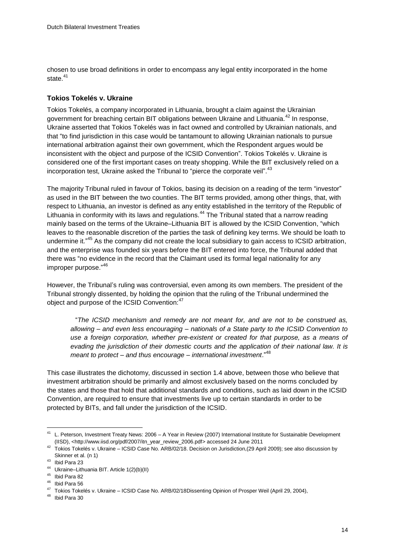chosen to use broad definitions in order to encompass any legal entity incorporated in the home state $41$ 

#### **Tokios Tokelés v. Ukraine**

Tokios Tokelés, a company incorporated in Lithuania, brought a claim against the Ukrainian government for breaching certain BIT obligations between Ukraine and Lithuania.<sup>42</sup> In response, Ukraine asserted that Tokios Tokelés was in fact owned and controlled by Ukrainian nationals, and that "to find jurisdiction in this case would be tantamount to allowing Ukrainian nationals to pursue international arbitration against their own government, which the Respondent argues would be inconsistent with the object and purpose of the ICSID Convention". Tokios Tokelés v. Ukraine is considered one of the first important cases on treaty shopping. While the BIT exclusively relied on a incorporation test, Ukraine asked the Tribunal to "pierce the corporate veil".<sup>43</sup>

The majority Tribunal ruled in favour of Tokios, basing its decision on a reading of the term "investor" as used in the BIT between the two counties. The BIT terms provided, among other things, that, with respect to Lithuania, an investor is defined as any entity established in the territory of the Republic of Lithuania in conformity with its laws and regulations.<sup>44</sup> The Tribunal stated that a narrow reading mainly based on the terms of the Ukraine–Lithuania BIT is allowed by the ICSID Convention, "which leaves to the reasonable discretion of the parties the task of defining key terms. We should be loath to undermine it."<sup>45</sup> As the company did not create the local subsidiary to gain access to ICSID arbitration, and the enterprise was founded six years before the BIT entered into force, the Tribunal added that there was "no evidence in the record that the Claimant used its formal legal nationality for any improper purpose." 46

However, the Tribunal"s ruling was controversial, even among its own members. The president of the Tribunal strongly dissented, by holding the opinion that the ruling of the Tribunal undermined the object and purpose of the ICSID Convention:<sup>47</sup>

"*The ICSID mechanism and remedy are not meant for, and are not to be construed as, allowing – and even less encouraging – nationals of a State party to the ICSID Convention to use a foreign corporation, whether pre-existent or created for that purpose, as a means of evading the jurisdiction of their domestic courts and the application of their national law. It is meant to protect – and thus encourage – international investment*." 48

This case illustrates the dichotomy, discussed in section 1.4 above, between those who believe that investment arbitration should be primarily and almost exclusively based on the norms concluded by the states and those that hold that additional standards and conditions, such as laid down in the ICSID Convention, are required to ensure that investments live up to certain standards in order to be protected by BITs, and fall under the jurisdiction of the ICSID.

<sup>41</sup> L. Peterson, Investment Treaty News: 2006 – A Year in Review (2007) International Institute for Sustainable Development (IISD), [<http://www.iisd.org/pdf/2007/itn\\_year\\_review\\_2006.pdf>](http://www.iisd.org/pdf/2007/itn_year_review_2006.pdf) accessed 24 June 2011

<sup>42</sup> Tokios Tokelés v. Ukraine – ICSID Case No. ARB/02/18. Decision on Jurisdiction,(29 April 2009); see also discussion by Skinner et al. (n 1)

<sup>43</sup> Ibid Para 23

<sup>44</sup> Ukraine–Lithuania BIT. Article 1(2)(b)(II)

<sup>45</sup> Ibid Para 82

<sup>46</sup> Ibid Para 56

<sup>47</sup> Tokios Tokelés v. Ukraine – ICSID Case No. ARB/02/18Dissenting Opinion of Prosper Weil (April 29, 2004),

<sup>48</sup> Ibid Para 30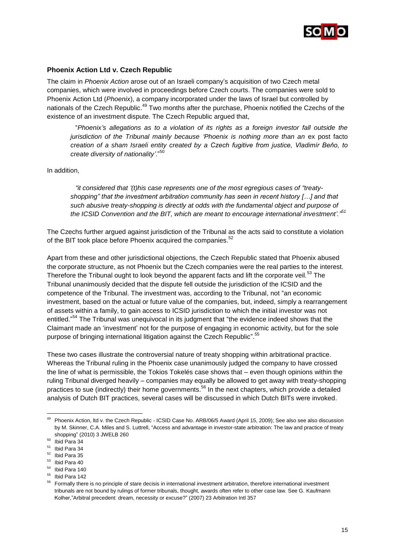

#### **Phoenix Action Ltd v. Czech Republic**

The claim in *Phoenix Action* arose out of an Israeli company"s acquisition of two Czech metal companies, which were involved in proceedings before Czech courts. The companies were sold to Phoenix Action Ltd (*Phoenix*), a company incorporated under the laws of Israel but controlled by nationals of the Czech Republic.<sup>49</sup> Two months after the purchase, Phoenix notified the Czechs of the existence of an investment dispute. The Czech Republic argued that,

"*Phoenix"s allegations as to a violation of its rights as a foreign investor fall outside the jurisdiction* of the Tribunal mainly because 'Phoenix is nothing more than an ex post facto *creation of a sham Israeli entity created by a Czech fugitive from justice, Vladimír Beňo, to create diversity of nationality"*." 50

#### In addition,

*"it considered that "(t)his case represents one of the most egregious cases of "treatyshopping" that the investment arbitration community has seen in recent history […] and that such abusive treaty-shopping is directly at odds with the fundamental object and purpose of the ICSID Convention and the BIT, which are meant to encourage international investment"." 51*

The Czechs further argued against jurisdiction of the Tribunal as the acts said to constitute a violation of the BIT took place before Phoenix acquired the companies.<sup>52</sup>

Apart from these and other jurisdictional objections, the Czech Republic stated that Phoenix abused the corporate structure, as not Phoenix but the Czech companies were the real parties to the interest. Therefore the Tribunal ought to look beyond the apparent facts and lift the corporate veil.<sup>53</sup> The Tribunal unanimously decided that the dispute fell outside the jurisdiction of the ICSID and the competence of the Tribunal. The investment was, according to the Tribunal, not "an economic investment, based on the actual or future value of the companies, but, indeed, simply a rearrangement of assets within a family, to gain access to ICSID jurisdiction to which the initial investor was not entitled."<sup>54</sup> The Tribunal was unequivocal in its judgment that "the evidence indeed shows that the Claimant made an "investment" not for the purpose of engaging in economic activity, but for the sole purpose of bringing international litigation against the Czech Republic".<sup>55</sup>

These two cases illustrate the controversial nature of treaty shopping within arbitrational practice. Whereas the Tribunal ruling in the Phoenix case unanimously judged the company to have crossed the line of what is permissible, the Tokios Tokelés case shows that – even though opinions within the ruling Tribunal diverged heavily – companies may equally be allowed to get away with treaty-shopping practices to sue (indirectly) their home governments.<sup>56</sup> In the next chapters, which provide a detailed analysis of Dutch BIT practices, several cases will be discussed in which Dutch BITs were invoked.

<sup>&</sup>lt;sup>49</sup> Phoenix Action, ltd v. the Czech Republic - ICSID Case No. ARB/06/5 Award (April 15, 2009); See also see also discussion by M. Skinner, C.A. Miles and S. Luttrell, "Access and advantage in investor-state arbitration: The law and practice of treaty shopping" (2010) 3 JWELB 260

 $50$  Ibid Para 34

<sup>51</sup> Ibid Para 34

<sup>52</sup> Ibid Para 35

<sup>53</sup> Ibid Para 40

<sup>54</sup> Ibid Para 140

<sup>55</sup> Ibid Para 142

<sup>&</sup>lt;sup>56</sup> Formally there is no principle of stare decisis in international investment arbitration, therefore international investment tribunals are not bound by rulings of former tribunals, thought, awards often refer to other case law. See G. Kaufmann Kolher,"Arbitral precedent: dream, necessity or excuse?" (2007) 23 Arbitration Intl 357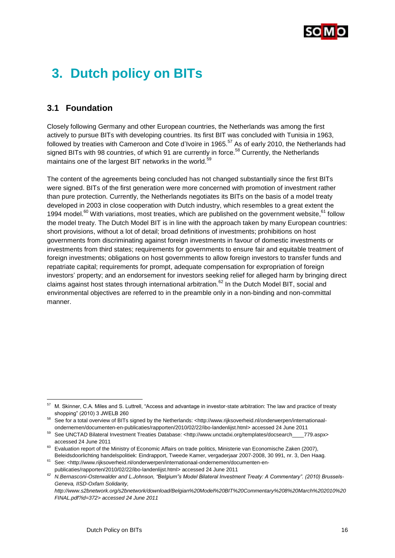

## <span id="page-17-0"></span>**3. Dutch policy on BITs**

## <span id="page-17-1"></span>**3.1 Foundation**

Closely following Germany and other European countries, the Netherlands was among the first actively to pursue BITs with developing countries. Its first BIT was concluded with Tunisia in 1963, followed by treaties with Cameroon and Cote d'Ivoire in 1965.<sup>57</sup> As of early 2010, the Netherlands had signed BITs with 98 countries, of which 91 are currently in force.<sup>58</sup> Currently, the Netherlands maintains one of the largest BIT networks in the world.<sup>59</sup>

The content of the agreements being concluded has not changed substantially since the first BITs were signed. BITs of the first generation were more concerned with promotion of investment rather than pure protection. Currently, the Netherlands negotiates its BITs on the basis of a model treaty developed in 2003 in close cooperation with Dutch industry, which resembles to a great extent the 1994 model.<sup>60</sup> With variations, most treaties, which are published on the government website, <sup>61</sup> follow the model treaty. The Dutch Model BIT is in line with the approach taken by many European countries: short provisions, without a lot of detail; broad definitions of investments; prohibitions on host governments from discriminating against foreign investments in favour of domestic investments or investments from third states; requirements for governments to ensure fair and equitable treatment of foreign investments; obligations on host governments to allow foreign investors to transfer funds and repatriate capital; requirements for prompt, adequate compensation for expropriation of foreign investors" property; and an endorsement for investors seeking relief for alleged harm by bringing direct claims against host states through international arbitration.<sup>62</sup> In the Dutch Model BIT, social and environmental objectives are referred to in the preamble only in a non-binding and non-committal manner.

l <sup>57</sup> M. Skinner, C.A. Miles and S. Luttrell, "Access and advantage in investor-state arbitration: The law and practice of treaty shopping" (2010) 3 JWELB 260

<sup>58</sup> See for a total overview of BITs signed by the Netherlands: [<http://www.rijksoverheid.nl/onderwerpen/internationaal](http://www.rijksoverheid.nl/onderwerpen/internationaal-ondernemen/documenten-en-publicaties/rapporten/2010/02/22/ibo-landenlijst.html)[ondernemen/documenten-en-publicaties/rapporten/2010/02/22/ibo-landenlijst.html>](http://www.rijksoverheid.nl/onderwerpen/internationaal-ondernemen/documenten-en-publicaties/rapporten/2010/02/22/ibo-landenlijst.html) accessed 24 June 2011

<sup>59</sup> See UNCTAD Bilateral Investment Treaties Database: [<http://www.unctadxi.org/templates/docsearch\\_\\_\\_\\_779.aspx>](http://www.unctadxi.org/templates/docsearch____779.aspx) accessed 24 June 2011

<sup>60</sup> Evaluation report of the Ministry of Economic Affairs on trade politics, Ministerie van Economische Zaken (2007), Beleidsdoorlichting handelspolitiek: Eindrapport, Tweede Kamer, vergaderjaar 2007-2008, 30 991, nr. 3, Den Haag.

<sup>61</sup> See: [<http://www.rijksoverheid.nl/onderwerpen/internationaal-ondernemen/documenten-en-](http://www.rijksoverheid.nl/onderwerpen/internationaal-ondernemen/documenten-en-publicaties/rapporten/2010/02/22/ibo-landenlijst.html)

[publicaties/rapporten/2010/02/22/ibo-landenlijst.html>](http://www.rijksoverheid.nl/onderwerpen/internationaal-ondernemen/documenten-en-publicaties/rapporten/2010/02/22/ibo-landenlijst.html) accessed 24 June 2011

*<sup>62</sup> N.Bernasconi-Osterwalder and L.Johnson, "Belgium"s Model Bilateral Investment Treaty: A Commentary". (2010) Brussels-Geneva, IISD-Oxfam Solidarity,*

*http://www.s2bnetwork.org/s2bnetwork/download/Belgian%20Model%20BIT%20Commentary%208%20March%202010%20 FINAL.pdf?id=372> accessed 24 June 2011*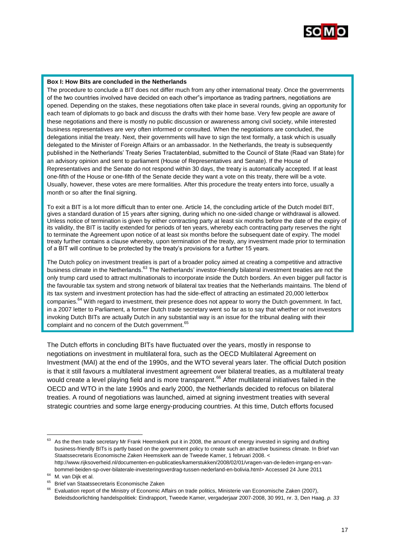

#### **Box I: How Bits are concluded in the Netherlands**

The procedure to conclude a BIT does not differ much from any other international treaty. Once the governments of the two countries involved have decided on each other"s importance as trading partners, negotiations are opened. Depending on the stakes, these negotiations often take place in several rounds, giving an opportunity for each team of diplomats to go back and discuss the drafts with their home base. Very few people are aware of these negotiations and there is mostly no public discussion or awareness among civil society, while interested business representatives are very often informed or consulted. When the negotiations are concluded, the delegations initial the treaty. Next, their governments will have to sign the text formally, a task which is usually delegated to the Minister of Foreign Affairs or an ambassador. In the Netherlands, the treaty is subsequently published in the Netherlands" Treaty Series Tractatenblad, submitted to the Council of State (Raad van State) for an advisory opinion and sent to parliament (House of Representatives and Senate). If the House of Representatives and the Senate do not respond within 30 days, the treaty is automatically accepted. If at least one-fifth of the House or one-fifth of the Senate decide they want a vote on this treaty, there will be a vote. Usually, however, these votes are mere formalities. After this procedure the treaty enters into force, usually a month or so after the final signing.

To exit a BIT is a lot more difficult than to enter one. Article 14, the concluding article of the Dutch model BIT, gives a standard duration of 15 years after signing, during which no one-sided change or withdrawal is allowed. Unless notice of termination is given by either contracting party at least six months before the date of the expiry of its validity, the BIT is tacitly extended for periods of ten years, whereby each contracting party reserves the right to terminate the Agreement upon notice of at least six months before the subsequent date of expiry. The model treaty further contains a clause whereby, upon termination of the treaty, any investment made prior to termination of a BIT will continue to be protected by the treaty"s provisions for a further 15 years.

The Dutch policy on investment treaties is part of a broader policy aimed at creating a competitive and attractive business climate in the Netherlands.<sup>63</sup> The Netherlands' investor-friendly bilateral investment treaties are not the only trump card used to attract multinationals to incorporate inside the Dutch borders. An even bigger pull factor is the favourable tax system and strong network of bilateral tax treaties that the Netherlands maintains. The blend of its tax system and investment protection has had the side-effect of attracting an estimated 20,000 letterbox companies.<sup>64</sup> With regard to investment, their presence does not appear to worry the Dutch government. In fact, in a 2007 letter to Parliament, a former Dutch trade secretary went so far as to say that whether or not investors invoking Dutch BITs are actually Dutch in any substantial way is an issue for the tribunal dealing with their complaint and no concern of the Dutch government.<sup>65</sup>

The Dutch efforts in concluding BITs have fluctuated over the years, mostly in response to negotiations on investment in multilateral fora, such as the OECD Multilateral Agreement on Investment (MAI) at the end of the 1990s, and the WTO several years later. The official Dutch position is that it still favours a multilateral investment agreement over bilateral treaties, as a multilateral treaty would create a level playing field and is more transparent.<sup>66</sup> After multilateral initiatives failed in the OECD and WTO in the late 1990s and early 2000, the Netherlands decided to refocus on bilateral treaties. A round of negotiations was launched, aimed at signing investment treaties with several strategic countries and some large energy-producing countries. At this time, Dutch efforts focused

<sup>&</sup>lt;sup>63</sup> As the then trade secretary Mr Frank Heemskerk put it in 2008, the amount of energy invested in signing and drafting business-friendly BITs is partly based on the government policy to create such an attractive business climate. In Brief van Staatssecretaris Economische Zaken Heemskerk aan de Tweede Kamer, 1 februari 2008. < [http://www.rijksoverheid.nl/documenten-en-publicaties/kamerstukken/2008/02/01/vragen-van-de-leden-irrgang-en-van-](http://www.rijksoverheid.nl/documenten-en-publicaties/kamerstukken/2008/02/01/vragen-van-de-leden-irrgang-en-van-bommel-beiden-sp-over-bilaterale-investeringsverdrag-tussen-nederland-en-bolivia.html)

[bommel-beiden-sp-over-bilaterale-investeringsverdrag-tussen-nederland-en-bolivia.html>](http://www.rijksoverheid.nl/documenten-en-publicaties/kamerstukken/2008/02/01/vragen-van-de-leden-irrgang-en-van-bommel-beiden-sp-over-bilaterale-investeringsverdrag-tussen-nederland-en-bolivia.html) Accessed 24 June 2011 <sup>64</sup> M. van Dijk et al.

<sup>&</sup>lt;sup>65</sup> Brief van Staatssecretaris Economische Zaken

<sup>&</sup>lt;sup>66</sup> Evaluation report of the Ministry of Economic Affairs on trade politics, Ministerie van Economische Zaken (2007), Beleidsdoorlichting handelspolitiek: Eindrapport, Tweede Kamer, vergaderjaar 2007-2008, 30 991, nr. 3, Den Haag. *p. 33*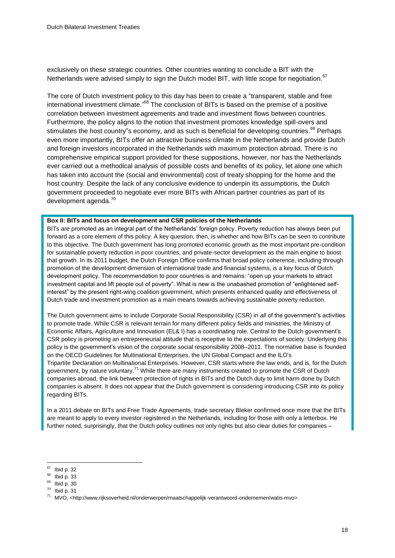exclusively on these strategic countries. Other countries wanting to conclude a BIT with the Netherlands were advised simply to sign the Dutch model BIT, with little scope for negotiation.<sup>67</sup>

The core of Dutch investment policy to this day has been to create a "transparent, stable and free international investment climate."<sup>68</sup> The conclusion of BITs is based on the premise of a positive correlation between investment agreements and trade and investment flows between countries. Furthermore, the policy aligns to the notion that investment promotes knowledge spill-overs and stimulates the host country"s economy, and as such is beneficial for developing countries.<sup>69</sup> Perhaps even more importantly, BITs offer an attractive business climate in the Netherlands and provide Dutch and foreign investors incorporated in the Netherlands with maximum protection abroad. There is no comprehensive empirical support provided for these suppositions, however, nor has the Netherlands ever carried out a methodical analysis of possible costs and benefits of its policy, let alone one which has taken into account the (social and environmental) cost of treaty shopping for the home and the host country. Despite the lack of any conclusive evidence to underpin its assumptions, the Dutch government proceeded to negotiate ever more BITs with African partner countries as part of its development agenda.<sup>70</sup>

#### **Box II: BITs and focus on development and CSR policies of the Netherlands**

BITs are promoted as an integral part of the Netherlands" foreign policy. Poverty reduction has always been put forward as a core element of this policy. A key question, then, is whether and how BITs can be seen to contribute to this objective. The Dutch government has long promoted economic growth as the most important pre-condition for sustainable poverty reduction in poor countries, and private-sector development as the main engine to boost that growth. In its 2011 budget, the Dutch Foreign Office confirms that broad policy coherence, including through promotion of the development dimension of international trade and financial systems, is a key focus of Dutch development policy. The recommendation to poor countries is and remains: "open up your markets to attract investment capital and lift people out of poverty". What is new is the unabashed promotion of "enlightened selfinterest" by the present right-wing coalition government, which presents enhanced quality and effectiveness of Dutch trade and investment promotion as a main means towards achieving sustainable poverty reduction.

The Dutch government aims to include Corporate Social Responsibility (CSR) in *all* of the government"s activities to promote trade. While CSR is relevant terrain for many different policy fields and ministries, the Ministry of Economic Affairs, Agriculture and Innovation (EL& I) has a coordinating role. Central to the Dutch government"s CSR policy is promoting an entrepreneurial attitude that is receptive to the expectations of society. Underlying this policy is the government"s vision of the corporate social responsibility 2008–2011. The normative base is founded on the OECD Guidelines for Multinational Enterprises, the UN Global Compact and the ILO"s Tripartite Declaration on Multinational Enterprises. However, CSR starts where the law ends, and is, for the Dutch government, by nature voluntary.<sup>71</sup> While there are many instruments created to promote the CSR of Dutch companies abroad, the link between protection of rights in BITs and the Dutch duty to limit harm done by Dutch companies is absent. It does not appear that the Dutch government is considering introducing CSR into its policy regarding BITs.

In a 2011 debate on BITs and Free Trade Agreements, trade secretary Bleker confirmed once more that the BITs are meant to apply to every investor registered in the Netherlands, including for those with only a letterbox. He further noted, surprisingly, that the Dutch policy outlines not only rights but also clear duties for companies –

<sup>67</sup> Ibid p. 32

<sup>68</sup> Ibid p. 33

 $69$  Ibid p. 30

 $70$  Ibid p. 31

<sup>71</sup> MVO, [<http://www.rijksoverheid.nl/onderwerpen/maatschappelijk-verantwoord-ondernemen/watis-mvo>](http://www.rijksoverheid.nl/onderwerpen/maatschappelijk-verantwoord-ondernemen/watis-mvo)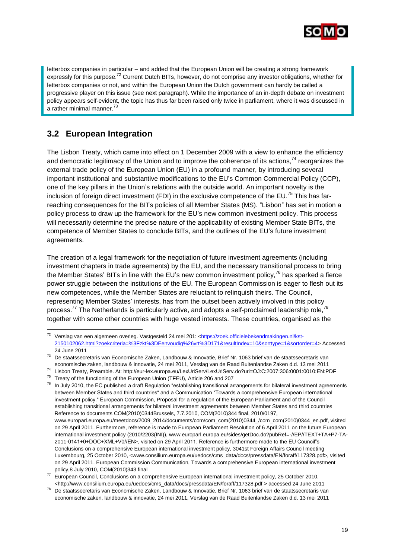

letterbox companies in particular – and added that the European Union will be creating a strong framework expressly for this purpose.<sup>72</sup> Current Dutch BITs, however, do not comprise any investor obligations, whether for letterbox companies or not, and within the European Union the Dutch government can hardly be called a progressive player on this issue (see next paragraph). While the importance of an in-depth debate on investment policy appears self-evident, the topic has thus far been raised only twice in parliament, where it was discussed in a rather minimal manner.<sup>73</sup>

## <span id="page-20-0"></span>**3.2 European Integration**

l

The Lisbon Treaty, which came into effect on 1 December 2009 with a view to enhance the efficiency and democratic legitimacy of the Union and to improve the coherence of its actions,<sup>74</sup> reorganizes the external trade policy of the European Union (EU) in a profound manner, by introducing several important institutional and substantive modifications to the EU"s Common Commercial Policy (CCP), one of the key pillars in the Union"s relations with the outside world. An important novelty is the inclusion of foreign direct investment (FDI) in the exclusive competence of the EU.<sup>75</sup> This has farreaching consequences for the BITs policies of all Member States (MS). "Lisbon" has set in motion a policy process to draw up the framework for the EU"s new common investment policy. This process will necessarily determine the precise nature of the applicability of existing Member State BITs, the competence of Member States to conclude BITs, and the outlines of the EU"s future investment agreements.

The creation of a legal framework for the negotiation of future investment agreements (including investment chapters in trade agreements) by the EU, and the necessary transitional process to bring the Member States' BITs in line with the EU's new common investment policy,  $^{76}$  has sparked a fierce power struggle between the institutions of the EU. The European Commission is eager to flesh out its new competences, while the Member States are reluctant to relinquish theirs. The Council, representing Member States" interests, has from the outset been actively involved in this policy process.<sup>77</sup> The Netherlands is particularly active, and adopts a self-proclaimed leadership role,<sup>78</sup> together with some other countries with huge vested interests. These countries, organised as the

<sup>&</sup>lt;sup>72</sup> Verslag van een algemeen overleg. Vastgesteld 24 mei 201: [<https://zoek.officielebekendmakingen.nl/kst-](https://zoek.officielebekendmakingen.nl/kst-2150102062.html?zoekcriteria=%3Fzkt%3DEenvoudig%26vrt%3D171&resultIndex=10&sorttype=1&sortorder=4)[2150102062.html?zoekcriteria=%3Fzkt%3DEenvoudig%26vrt%3D171&resultIndex=10&sorttype=1&sortorder=4>](https://zoek.officielebekendmakingen.nl/kst-2150102062.html?zoekcriteria=%3Fzkt%3DEenvoudig%26vrt%3D171&resultIndex=10&sorttype=1&sortorder=4) Accessed 24 June 2011

<sup>73</sup> De staatssecretaris van Economische Zaken, Landbouw & Innovatie, Brief Nr. 1063 brief van de staatssecretaris van economische zaken, landbouw & innovatie, 24 mei 2011, Verslag van de Raad Buitenlandse Zaken d.d. 13 mei 2011

<sup>74</sup> Lisbon Treaty, Preamble. At: http://eur-lex.europa.eu/LexUriServ/LexUriServ.do?uri=OJ:C:2007:306:0001:0010:EN:PDF

<sup>75</sup> Treaty of the functioning of the European Union (TFEU), Article 206 and 207

 $76$  In July 2010, the EC published a draft Regulation "establishing transitional arrangements for bilateral investment agreements between Member States and third countries" and a Communication "Towards a comprehensive European international investment policy." European Commission, Proposal for a regulation of the European Parliament and of the Council establishing transitional arrangements for bilateral investment agreements between Member States and third countries Reference to documents COM(2010)0344Brussels, 7.7.2010, COM(2010)344 final, 2010/0197, www.europarl.europa.eu/meetdocs/2009\_2014/documents/com/com\_com(2010)0344\_/com\_com(2010)0344\_en.pdf, visited on 29 April 2011. Furthermore, reference is made to European Parliament Resolution of 6 April 2011 on the future European international investment policy (2010/2203(INI)), www.europarl.europa.eu/sides/getDoc.do?pubRef=-//EP//TEXT+TA+P7-TA-2011-0141+0+DOC+XML+V0//EN>, visited on 29 April 2011. Reference is furthermore made to the EU Council"s Conclusions on a comprehensive European international investment policy, 3041st Foreign Affairs Council meeting Luxembourg, 25 October 2010, <www.consilium.europa.eu/uedocs/cms\_data/docs/pressdata/EN/foraff/117328.pdf>, visited on 29 April 2011. European Commission Communication, Towards a comprehensive European international investment policy,8 July 2010, COM(2010)343 final

<sup>77</sup> European Council, Conclusions on a comprehensive European international investment policy, 25 October 2010, [<http://www.consilium.europa.eu/uedocs/cms\\_data/docs/pressdata/EN/foraff/117328.pdf >](http://www.consilium.europa.eu/uedocs/cms_data/docs/pressdata/EN/foraff/117328.pdf) accessed 24 June 2011

<sup>78</sup> De staatssecretaris van Economische Zaken, Landbouw & Innovatie, Brief Nr. 1063 brief van de staatssecretaris van economische zaken, landbouw & innovatie, 24 mei 2011, Verslag van de Raad Buitenlandse Zaken d.d. 13 mei 2011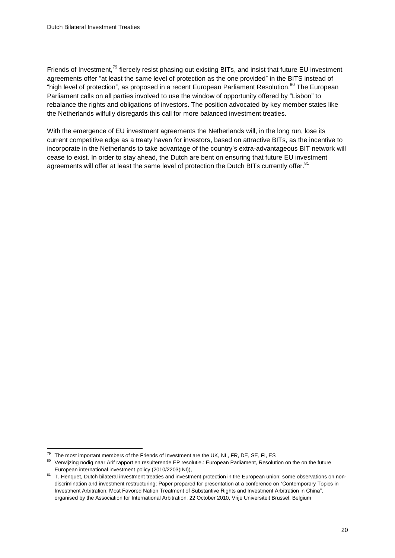Friends of Investment,<sup>79</sup> fiercely resist phasing out existing BITs, and insist that future EU investment agreements offer "at least the same level of protection as the one provided" in the BITS instead of "high level of protection", as proposed in a recent European Parliament Resolution.<sup>80</sup> The European Parliament calls on all parties involved to use the window of opportunity offered by "Lisbon" to rebalance the rights and obligations of investors. The position advocated by key member states like the Netherlands wilfully disregards this call for more balanced investment treaties.

With the emergence of EU investment agreements the Netherlands will, in the long run, lose its current competitive edge as a treaty haven for investors, based on attractive BITs, as the incentive to incorporate in the Netherlands to take advantage of the country"s extra-advantageous BIT network will cease to exist. In order to stay ahead, the Dutch are bent on ensuring that future EU investment agreements will offer at least the same level of protection the Dutch BITs currently offer.<sup>81</sup>

 $<sup>79</sup>$  The most important members of the Friends of Investment are the UK, NL, FR, DE, SE, FI, ES</sup>

<sup>80</sup> Verwijzing nodig naar Arif rapport en resulterende EP resolutie.: European Parliament, Resolution on the on the future European international investment policy (2010/2203(INI)),

<sup>&</sup>lt;sup>81</sup> T. Henquet. Dutch bilateral investment treaties and investment protection in the European union: some observations on nondiscrimination and investment restructuring; Paper prepared for presentation at a conference on "Contemporary Topics in Investment Arbitration: Most Favored Nation Treatment of Substantive Rights and Investment Arbitration in China", organised by the Association for International Arbitration, 22 October 2010, Vrije Universiteit Brussel, Belgium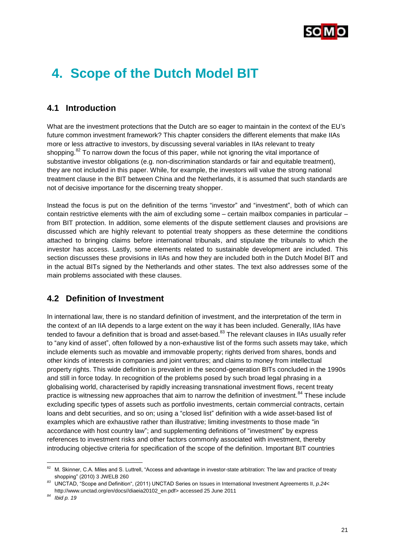

## <span id="page-22-0"></span>**4. Scope of the Dutch Model BIT**

### <span id="page-22-1"></span>**4.1 Introduction**

What are the investment protections that the Dutch are so eager to maintain in the context of the EU"s future common investment framework? This chapter considers the different elements that make IIAs more or less attractive to investors, by discussing several variables in IIAs relevant to treaty shopping.<sup>82</sup> To narrow down the focus of this paper, while not ignoring the vital importance of substantive investor obligations (e.g. non-discrimination standards or fair and equitable treatment), they are not included in this paper. While, for example, the investors will value the strong national treatment clause in the BIT between China and the Netherlands, it is assumed that such standards are not of decisive importance for the discerning treaty shopper.

Instead the focus is put on the definition of the terms "investor" and "investment", both of which can contain restrictive elements with the aim of excluding some – certain mailbox companies in particular – from BIT protection. In addition, some elements of the dispute settlement clauses and provisions are discussed which are highly relevant to potential treaty shoppers as these determine the conditions attached to bringing claims before international tribunals, and stipulate the tribunals to which the investor has access. Lastly, some elements related to sustainable development are included. This section discusses these provisions in IIAs and how they are included both in the Dutch Model BIT and in the actual BITs signed by the Netherlands and other states. The text also addresses some of the main problems associated with these clauses.

### <span id="page-22-2"></span>**4.2 Definition of Investment**

In international law, there is no standard definition of investment, and the interpretation of the term in the context of an IIA depends to a large extent on the way it has been included. Generally, IIAs have tended to favour a definition that is broad and asset-based.<sup>83</sup> The relevant clauses in IIAs usually refer to "any kind of asset", often followed by a non-exhaustive list of the forms such assets may take, which include elements such as movable and immovable property; rights derived from shares, bonds and other kinds of interests in companies and joint ventures; and claims to money from intellectual property rights. This wide definition is prevalent in the second-generation BITs concluded in the 1990s and still in force today. In recognition of the problems posed by such broad legal phrasing in a globalising world, characterised by rapidly increasing transnational investment flows, recent treaty practice is witnessing new approaches that aim to narrow the definition of investment.<sup>84</sup> These include excluding specific types of assets such as portfolio investments, certain commercial contracts, certain loans and debt securities, and so on; using a "closed list" definition with a wide asset-based list of examples which are exhaustive rather than illustrative; limiting investments to those made "in accordance with host country law"; and supplementing definitions of "investment" by express references to investment risks and other factors commonly associated with investment, thereby introducing objective criteria for specification of the scope of the definition. Important BIT countries

<sup>82</sup> M. Skinner, C.A. Miles and S. Luttrell, "Access and advantage in investor-state arbitration: The law and practice of treaty shopping" (2010) 3 JWELB 260

*<sup>83</sup>* UNCTAD, "Scope and Definition", (2011) UNCTAD Series on Issues in International Investment Agreements II, *p.24*< [http://www.unctad.org/en/docs//diaeia20102\\_en.pdf>](http://www.unctad.org/en/docs/diaeia20102_en.pdf) accessed 25 June 2011

*<sup>84</sup> Ibid p. 19*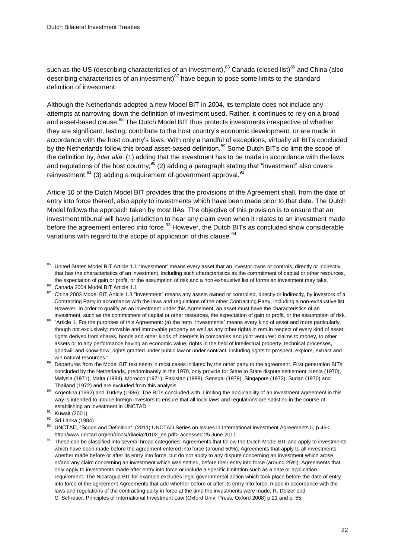such as the US (describing characteristics of an investment), $^{85}$  Canada (closed list) $^{86}$  and China (also describing characteristics of an investment) $87$  have begun to pose some limits to the standard definition of investment.

Although the Netherlands adopted a new Model BIT in 2004, its template does not include any attempts at narrowing down the definition of investment used. Rather, it continues to rely on a broad and asset-based clause.<sup>88</sup> The Dutch Model BIT thus protects investments irrespective of whether they are significant, lasting, contribute to the host country's economic development, or are made in accordance with the host country"s laws. With only a handful of exceptions, virtually all BITs concluded by the Netherlands follow this broad asset-based definition.<sup>89</sup> Some Dutch BITs do limit the scope of the definition by, *inter alia*: (1) adding that the investment has to be made in accordance with the laws and regulations of the host country;<sup>90</sup> (2) adding a paragraph stating that "investment" also covers reinvestment;<sup>91</sup> (3) adding a requirement of government approval.<sup>92</sup>

Article 10 of the Dutch Model BIT provides that the provisions of the Agreement shall, from the date of entry into force thereof, also apply to investments which have been made prior to that date. The Dutch Model follows the approach taken by most IIAs. The objective of this provision is to ensure that an investment tribunal will have jurisdiction to hear any claim even when it relates to an investment made before the agreement entered into force.<sup>93</sup> However, the Dutch BITs as concluded show considerable variations with regard to the scope of application of this clause.<sup>94</sup>

<sup>85</sup> United States Model BIT Article 1.1 "Investment" means every asset that an investor owns or controls, directly or indirectly, that has the characteristics of an investment, including such characteristics as the commitment of capital or other resources, the expectation of gain or profit, or the assumption of risk and a non-exhaustive list of forms an investment may take.

 $86$  Canada 2004 Model BIT Article 1.1

China 2003 Model BIT Article 1.3 "Investment" means any assets owned or controlled, directly or indirectly, by investors of a Contracting Party in accordance with the laws and regulations of the other Contracting Party, including a non-exhaustive list. However, In order to qualify as an investment under this Agreement, an asset must have the characteristics of an investment, such as the commitment of capital or other resources, the expectation of gain or profit, or the assumption of risk.

<sup>88</sup> "Article 1. For the purposes of this Agreement: (a) the term "investments" means every kind of asset and more particularly, though not exclusively: movable and immovable property as well as any other rights in rem in respect of every kind of asset; rights derived from shares, bonds and other kinds of interests in companies and joint ventures; claims to money, to other assets or to any performance having an economic value; rights in the field of intellectual property, technical processes, goodwill and know-how; rights granted under public law or under contract, including rights to prospect, explore, extract and win natural resources."

<sup>89</sup> Departures from the Model BIT text seem in most cases initiated by the other party to the agreement. First generation BITs concluded by the Netherlands, predominantly in the 1970, only provide for State to State dispute settlement. Kenia (1970), Malysia (1971), Malta (1984), Morocco (1971), Pakistan (1988), Senegal (1979), Singapore (1972), Sudan (1970) and Thailand (1972) and are excluded from this analysis

<sup>90</sup> Argentina (1992) and Turkey (1986); The BITs concluded with. Limiting the applicability of an investment agreement in this way is intended to induce foreign investors to ensure that all local laws and regulations are satisfied in the course of establishing an investment in UNCTAD

<sup>&</sup>lt;sup>91</sup> Kuwait (2001)

<sup>92</sup> Sri Lanka (1984)

<sup>93</sup> UNCTAD, "Scope and Definition", (2011) UNCTAD Series on Issues in International Investment Agreements II, p.46< [http://www.unctad.org/en/docs//diaeia20102\\_en.pdf>](http://www.unctad.org/en/docs/diaeia20102_en.pdf) accessed 25 June 2011

These can be classified into several broad categories: Agreements that follow the Dutch Model BIT and apply to investments which have been made before the agreement entered into force (around 50%); Agreements that apply to all investments, whether made before or after its entry into force, but do not apply to any dispute concerning an investment which arose, or/and any claim concerning an investment which was settled, before their entry into force (around 25%); Agreements that only apply to investments made after entry into force or include a specific limitation such as a date or application requirement. The Nicaragua BIT for example excludes legal governmental action which took place before the date of entry into force of the agreement Agreements that add whether before or after its entry into force, made in accordance with the laws and regulations of the contracting party in force at the time the investments were made; R. Dolzer and C. Schreuer, Principles of International Investment Law (Oxford Univ. Press, Oxford 2008) p.21 and p. 55.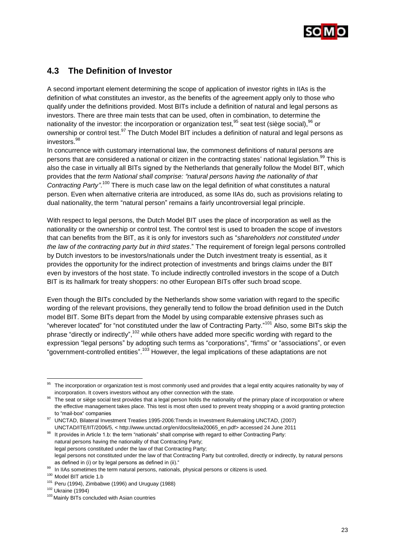

### <span id="page-24-0"></span>**4.3 The Definition of Investor**

A second important element determining the scope of application of investor rights in IIAs is the definition of what constitutes an investor, as the benefits of the agreement apply only to those who qualify under the definitions provided. Most BITs include a definition of natural and legal persons as investors. There are three main tests that can be used, often in combination, to determine the nationality of the investor: the incorporation or organization test, $^{95}$  seat test (siège social), $^{96}$  or ownership or control test.<sup>97</sup> The Dutch Model BIT includes a definition of natural and legal persons as investors.<sup>98</sup>

In concurrence with customary international law, the commonest definitions of natural persons are persons that are considered a national or citizen in the contracting states' national legislation.<sup>99</sup> This is also the case in virtually all BITs signed by the Netherlands that generally follow the Model BIT, which provides that *the term National shall comprise: "natural persons having the nationality of that*  Contracting Party".<sup>100</sup> There is much case law on the legal definition of what constitutes a natural person. Even when alternative criteria are introduced, as some IIAs do, such as provisions relating to dual nationality, the term "natural person" remains a fairly uncontroversial legal principle.

With respect to legal persons, the Dutch Model BIT uses the place of incorporation as well as the nationality or the ownership or control test. The control test is used to broaden the scope of investors that can benefits from the BIT, as it is only for investors such as "*shareholders not constituted under the law of the contracting party but in third states*." The requirement of foreign legal persons controlled by Dutch investors to be investors/nationals under the Dutch investment treaty is essential, as it provides the opportunity for the indirect protection of investments and brings claims under the BIT even by investors of the host state. To include indirectly controlled investors in the scope of a Dutch BIT is its hallmark for treaty shoppers: no other European BITs offer such broad scope.

Even though the BITs concluded by the Netherlands show some variation with regard to the specific wording of the relevant provisions, they generally tend to follow the broad definition used in the Dutch model BIT. Some BITs depart from the Model by using comparable extensive phrases such as "wherever located" for "not constituted under the law of Contracting Party."<sup>101</sup> Also, some BITs skip the phrase "directly or indirectly",<sup>102</sup> while others have added more specific wording with regard to the expression "legal persons" by adopting such terms as "corporations", "firms" or "associations", or even "government-controlled entities".<sup>103</sup> However, the legal implications of these adaptations are not

The incorporation or organization test is most commonly used and provides that a legal entity acquires nationality by way of incorporation. It covers investors without any other connection with the state.

<sup>&</sup>lt;sup>96</sup> The seat or siège social test provides that a legal person holds the nationality of the primary place of incorporation or where the effective management takes place. This test is most often used to prevent treaty shopping or a avoid granting protection to "mail-box" companies

<sup>97</sup> UNCTAD, Bilateral Investment Treaties 1995-2006:Trends in Investment Rulemaking UNCTAD, (2007) UNCTAD/ITE/IIT/2006/5, < [http://www.unctad.org/en/docs/iteiia20065\\_en.pdf>](http://www.unctad.org/en/docs/iteiia20065_en.pdf) accessed 24 June 2011

<sup>98</sup> It provides in Article 1.b: the term "nationals" shall comprise with regard to either Contracting Party: natural persons having the nationality of that Contracting Party;

legal persons constituted under the law of that Contracting Party;

legal persons not constituted under the law of that Contracting Party but controlled, directly or indirectly, by natural persons as defined in (i) or by legal persons as defined in (ii)."

<sup>99</sup> In IIAs sometimes the term natural persons, nationals, physical persons or citizens is used.

<sup>100</sup> Model BIT article 1.b

 $101$  Peru (1994), Zimbabwe (1996) and Uruguay (1988)

<sup>102</sup> Ukraine (1994)

<sup>&</sup>lt;sup>103</sup> Mainly BITs concluded with Asian countries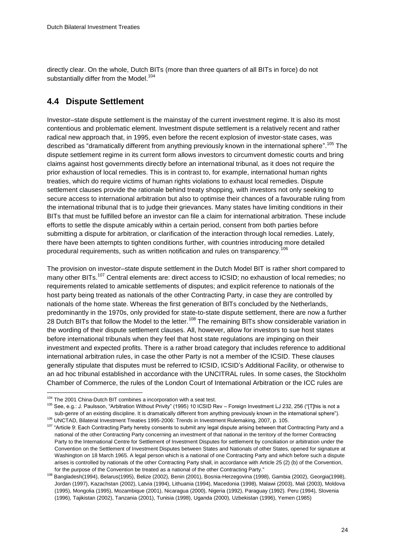directly clear. On the whole, Dutch BITs (more than three quarters of all BITs in force) do not substantially differ from the Model.<sup>104</sup>

## <span id="page-25-0"></span>**4.4 Dispute Settlement**

Investor–state dispute settlement is the mainstay of the current investment regime. It is also its most contentious and problematic element. Investment dispute settlement is a relatively recent and rather radical new approach that, in 1995, even before the recent explosion of investor-state cases, was described as "dramatically different from anything previously known in the international sphere". <sup>105</sup> The dispute settlement regime in its current form allows investors to circumvent domestic courts and bring claims against host governments directly before an international tribunal, as it does not require the prior exhaustion of local remedies. This is in contrast to, for example, international human rights treaties, which do require victims of human rights violations to exhaust local remedies. Dispute settlement clauses provide the rationale behind treaty shopping, with investors not only seeking to secure access to international arbitration but also to optimise their chances of a favourable ruling from the international tribunal that is to judge their grievances. Many states have limiting conditions in their BITs that must be fulfilled before an investor can file a claim for international arbitration. These include efforts to settle the dispute amicably within a certain period, consent from both parties before submitting a dispute for arbitration, or clarification of the interaction through local remedies. Lately, there have been attempts to tighten conditions further, with countries introducing more detailed procedural requirements, such as written notification and rules on transparency.<sup>106</sup>

The provision on investor–state dispute settlement in the Dutch Model BIT is rather short compared to many other BITs.<sup>107</sup> Central elements are: direct access to ICSID; no exhaustion of local remedies; no requirements related to amicable settlements of disputes; and explicit reference to nationals of the host party being treated as nationals of the other Contracting Party, in case they are controlled by nationals of the home state. Whereas the first generation of BITs concluded by the Netherlands, predominantly in the 1970s, only provided for state-to-state dispute settlement, there are now a further 28 Dutch BITs that follow the Model to the letter.<sup>108</sup> The remaining BITs show considerable variation in the wording of their dispute settlement clauses. All, however, allow for investors to sue host states before international tribunals when they feel that host state regulations are impinging on their investment and expected profits. There is a rather broad category that includes reference to additional international arbitration rules, in case the other Party is not a member of the ICSID. These clauses generally stipulate that disputes must be referred to ICSID, ICSID"s Additional Facility, or otherwise to an ad hoc tribunal established in accordance with the UNCITRAL rules. In some cases, the Stockholm Chamber of Commerce, the rules of the London Court of International Arbitration or the ICC rules are

<sup>&</sup>lt;sup>104</sup> The 2001 China-Dutch BIT combines a incorporation with a seat test.

<sup>105</sup> See, e.g.: J. Paulsson, "Arbitration Without Privity" (1995) 10 ICSID Rev – Foreign Investment LJ 232, 256 ("[T]his is not a sub-genre of an existing discipline. It is dramatically different from anything previously known in the international sphere").

<sup>106</sup> UNCTAD, Bilateral Investment Treaties 1995-2006: Trends in Investment Rulemaking, 2007, p. 105.

<sup>&</sup>lt;sup>107</sup> "Article 9: Each Contracting Party hereby consents to submit any legal dispute arising between that Contracting Party and a national of the other Contracting Party concerning an investment of that national in the territory of the former Contracting Party to the International Centre for Settlement of Investment Disputes for settlement by conciliation or arbitration under the Convention on the Settlement of Investment Disputes between States and Nationals of other States, opened for signature at Washington on 18 March 1965. A legal person which is a national of one Contracting Party and which before such a dispute arises is controlled by nationals of the other Contracting Party shall, in accordance with Article 25 (2) (b) of the Convention, for the purpose of the Convention be treated as a national of the other Contracting Party."

<sup>108</sup> [Bangladesh\(](http://www.rijksoverheid.nl/onderwerpen/internationaal-ondernemen/documenten-en-publicaties/besluiten/2006/10/17/bangladesh.html)1994)[, Belarus\(](http://www.rijksoverheid.nl/onderwerpen/internationaal-ondernemen/documenten-en-publicaties/besluiten/2006/10/17/belarus.html)1995), [Belize](http://www.rijksoverheid.nl/onderwerpen/internationaal-ondernemen/documenten-en-publicaties/besluiten/2006/10/17/belize.html) (2002)[, Benin](http://www.rijksoverheid.nl/onderwerpen/internationaal-ondernemen/documenten-en-publicaties/besluiten/2006/10/17/benin.html) (2001), [Bosnia-Herzegovina](http://www.rijksoverheid.nl/onderwerpen/internationaal-ondernemen/documenten-en-publicaties/besluiten/2006/10/17/bosnia-herzegovina.html) (1998)[, Gambia](http://www.rijksoverheid.nl/onderwerpen/internationaal-ondernemen/documenten-en-publicaties/besluiten/2006/10/17/gambia.html) (2002)[, Georgia\(](http://www.rijksoverheid.nl/onderwerpen/internationaal-ondernemen/documenten-en-publicaties/besluiten/2006/10/17/georgia.html)1998), [Jordan](http://www.rijksoverheid.nl/onderwerpen/internationaal-ondernemen/documenten-en-publicaties/besluiten/2006/10/17/jordan.html) (1997)[, Kazachstan](http://www.rijksoverheid.nl/onderwerpen/internationaal-ondernemen/documenten-en-publicaties/besluiten/2006/10/17/kazachstan.html) (2002)[, Latvia](http://www.rijksoverheid.nl/onderwerpen/internationaal-ondernemen/documenten-en-publicaties/besluiten/2006/10/17/latvia.html) (1994)[, Lithuania](http://www.rijksoverheid.nl/onderwerpen/internationaal-ondernemen/documenten-en-publicaties/besluiten/2006/10/17/lithuania.html) (1994)[, Macedonia](http://www.rijksoverheid.nl/onderwerpen/internationaal-ondernemen/documenten-en-publicaties/besluiten/2006/10/17/macedonia.html) (1998)[, Malawi](http://www.rijksoverheid.nl/onderwerpen/internationaal-ondernemen/documenten-en-publicaties/besluiten/2006/10/17/malawi.html) (2003), [Mali](http://www.rijksoverheid.nl/onderwerpen/internationaal-ondernemen/documenten-en-publicaties/besluiten/2006/10/17/mali.html) (2003)[, Moldova](http://www.rijksoverheid.nl/onderwerpen/internationaal-ondernemen/documenten-en-publicaties/besluiten/2006/10/17/moldova.html) (1995), [Mongolia](http://www.rijksoverheid.nl/onderwerpen/internationaal-ondernemen/documenten-en-publicaties/besluiten/2006/10/17/mongolia.html) (1995), [Mozambique](http://www.rijksoverheid.nl/onderwerpen/internationaal-ondernemen/documenten-en-publicaties/besluiten/2006/10/17/mozambique.html) (2001)[, Nicaragua](http://www.rijksoverheid.nl/onderwerpen/internationaal-ondernemen/documenten-en-publicaties/besluiten/2006/10/17/nicaragua.html) (2000), [Nigeria](http://www.rijksoverheid.nl/onderwerpen/internationaal-ondernemen/documenten-en-publicaties/besluiten/2006/10/17/nigeria.html) (1992), [Paraguay](http://www.rijksoverheid.nl/onderwerpen/internationaal-ondernemen/documenten-en-publicaties/besluiten/2006/10/17/paraguay.html) (1992)[. Peru](http://www.rijksoverheid.nl/onderwerpen/internationaal-ondernemen/documenten-en-publicaties/besluiten/2006/10/17/peru.html) (1994), [Slovenia](http://www.rijksoverheid.nl/onderwerpen/internationaal-ondernemen/documenten-en-publicaties/besluiten/2006/10/17/slovenia.html) (1996), [Tajikistan](http://www.rijksoverheid.nl/onderwerpen/internationaal-ondernemen/documenten-en-publicaties/besluiten/2006/10/17/tajikistan.html) (2002)[, Tanzania](http://www.rijksoverheid.nl/onderwerpen/internationaal-ondernemen/documenten-en-publicaties/besluiten/2006/10/17/tanzania.html) (2001), [Tunisia](http://www.rijksoverheid.nl/onderwerpen/internationaal-ondernemen/documenten-en-publicaties/besluiten/2006/10/17/tunisia.html) (1998)[, Uganda](http://www.rijksoverheid.nl/onderwerpen/internationaal-ondernemen/documenten-en-publicaties/besluiten/2006/10/17/uganda.html) (2000)[, Uzbekistan](http://www.rijksoverheid.nl/onderwerpen/internationaal-ondernemen/documenten-en-publicaties/besluiten/2006/10/17/uzbekistan.html) (1996), [Yemen](http://www.rijksoverheid.nl/onderwerpen/internationaal-ondernemen/documenten-en-publicaties/besluiten/2006/10/17/yemen.html) (1985)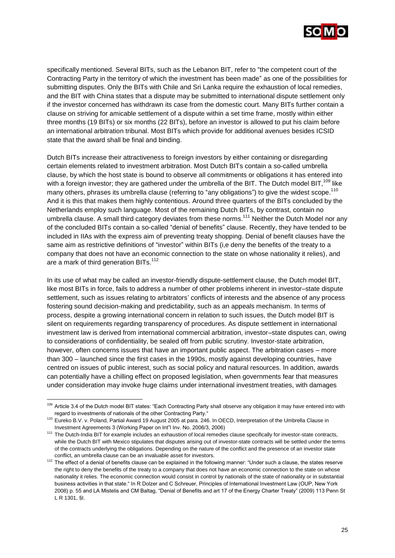

specifically mentioned. Several BITs, such as the Lebanon BIT, refer to "the competent court of the Contracting Party in the territory of which the investment has been made" as one of the possibilities for submitting disputes. Only the BITs with Chile and Sri Lanka require the exhaustion of local remedies, and the BIT with China states that a dispute may be submitted to international dispute settlement only if the investor concerned has withdrawn its case from the domestic court. Many BITs further contain a clause on striving for amicable settlement of a dispute within a set time frame, mostly within either three months (19 BITs) or six months (22 BITs), before an investor is allowed to put his claim before an international arbitration tribunal. Most BITs which provide for additional avenues besides ICSID state that the award shall be final and binding.

Dutch BITs increase their attractiveness to foreign investors by either containing or disregarding certain elements related to investment arbitration. Most Dutch BITs contain a so-called umbrella clause, by which the host state is bound to observe all commitments or obligations it has entered into with a foreign investor; they are gathered under the umbrella of the BIT. The Dutch model BIT.<sup>109</sup> like many others, phrases its umbrella clause (referring to "any obligations") to give the widest scope.<sup>110</sup> And it is this that makes them highly contentious. Around three quarters of the BITs concluded by the Netherlands employ such language. Most of the remaining Dutch BITs, by contrast, contain no umbrella clause. A small third category deviates from these norms.<sup>111</sup> Neither the Dutch Model nor any of the concluded BITs contain a so-called "denial of benefits" clause. Recently, they have tended to be included in IIAs with the express aim of preventing treaty shopping. Denial of benefit clauses have the same aim as restrictive definitions of "investor" within BITs (i,e deny the benefits of the treaty to a company that does not have an economic connection to the state on whose nationality it relies), and are a mark of third generation BITs.<sup>112</sup>

In its use of what may be called an investor-friendly dispute-settlement clause, the Dutch model BIT, like most BITs in force, fails to address a number of other problems inherent in investor–state dispute settlement, such as issues relating to arbitrators' conflicts of interests and the absence of any process fostering sound decision-making and predictability, such as an appeals mechanism. In terms of process, despite a growing international concern in relation to such issues, the Dutch model BIT is silent on requirements regarding transparency of procedures. As dispute settlement in international investment law is derived from international commercial arbitration, investor–state disputes can, owing to considerations of confidentiality, be sealed off from public scrutiny. Investor-state arbitration, however, often concerns issues that have an important public aspect. The arbitration cases – more than 300 – launched since the first cases in the 1990s, mostly against developing countries, have centred on issues of public interest, such as social policy and natural resources. In addition, awards can potentially have a chilling effect on proposed legislation, when governments fear that measures under consideration may invoke huge claims under international investment treaties, with damages

<sup>109</sup> Article 3.4 of the Dutch model BIT states: "Each Contracting Party shall observe any obligation it may have entered into with regard to investments of nationals of the other Contracting Party."

<sup>&</sup>lt;sup>110</sup> Eureko B.V. v. Poland, Partial Award 19 August 2005 at para. 246. In OECD, Interpretation of the Umbrella Clause in Investment Agreements 3 (Working Paper on Int"l Inv. No. 2006/3, 2006)

<sup>111</sup> The Dutch-India BIT for example includes an exhaustion of local remedies clause specifically for investor-state contracts, while the Dutch BIT with Mexico stipulates that disputes arising out of investor-state contracts will be settled under the terms of the contracts underlying the obligations. Depending on the nature of the conflict and the presence of an investor state conflict, an umbrella clause can be an invaluable asset for investors.

<sup>&</sup>lt;sup>112</sup> The effect of a denial of benefits clause can be explained in the following manner: "Under such a clause, the states reserve the right to deny the benefits of the treaty to a company that does not have an economic connection to the state on whose nationality it relies. The economic connection would consist in control by nationals of the state of nationality or in substantial business activities in that state." In R Dolzer and C Schreuer, Principles of International Investment Law (OUP, New York 2008) p. 55 and LA Mistelis and CM Baltag, "Denial of Benefits and art 17 of the Energy Charter Treaty" (2009) 113 Penn St L R 1301, §I.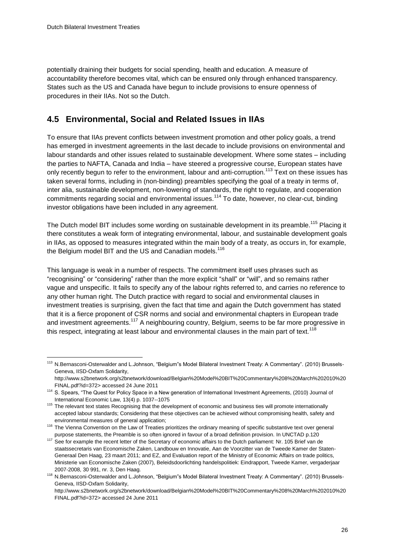l

potentially draining their budgets for social spending, health and education. A measure of accountability therefore becomes vital, which can be ensured only through enhanced transparency. States such as the US and Canada have begun to include provisions to ensure openness of procedures in their IIAs. Not so the Dutch.

## <span id="page-27-0"></span>**4.5 Environmental, Social and Related Issues in IIAs**

To ensure that IIAs prevent conflicts between investment promotion and other policy goals, a trend has emerged in investment agreements in the last decade to include provisions on environmental and labour standards and other issues related to sustainable development. Where some states – including the parties to NAFTA, Canada and India – have steered a progressive course, European states have only recently begun to refer to the environment, labour and anti-corruption.<sup>113</sup> Text on these issues has taken several forms, including in (non-binding) preambles specifying the goal of a treaty in terms of, inter alia, sustainable development, non-lowering of standards, the right to regulate, and cooperation commitments regarding social and environmental issues.<sup>114</sup> To date, however, no clear-cut, binding investor obligations have been included in any agreement.

The Dutch model BIT includes some wording on sustainable development in its preamble.<sup>115</sup> Placing it there constitutes a weak form of integrating environmental, labour, and sustainable development goals in IIAs, as opposed to measures integrated within the main body of a treaty, as occurs in, for example, the Belgium model BIT and the US and Canadian models.<sup>116</sup>

This language is weak in a number of respects. The commitment itself uses phrases such as "recognising" or "considering" rather than the more explicit "shall" or "will", and so remains rather vague and unspecific. It fails to specify any of the labour rights referred to, and carries no reference to any other human right. The Dutch practice with regard to social and environmental clauses in investment treaties is surprising, given the fact that time and again the Dutch government has stated that it is a fierce proponent of CSR norms and social and environmental chapters in European trade and investment agreements.<sup>117</sup> A neighbouring country, Belgium, seems to be far more progressive in this respect, integrating at least labour and environmental clauses in the main part of text.<sup>118</sup>

<sup>113</sup> N.Bernasconi-Osterwalder and L.Johnson, "Belgium"s Model Bilateral Investment Treaty: A Commentary". (2010) Brussels-Geneva, IISD-Oxfam Solidarity, http://www.s2bnetwork.org/s2bnetwork/download/Belgian%20Model%20BIT%20Commentary%208%20March%202010%20

FINAL.pdf?id=372> accessed 24 June 2011

<sup>&</sup>lt;sup>114</sup> S. Spears, "The Quest for Policy Space in a New generation of International Investment Agreements, (2010) Journal of International Economic Law, 13(4) p. 1037--1075

<sup>&</sup>lt;sup>115</sup> The relevant text states Recognising that the development of economic and business ties will promote internationally accepted labour standards; Considering that these objectives can be achieved without compromising health, safety and environmental measures of general application;

<sup>116</sup> The Vienna Convention on the Law of Treaties prioritizes the ordinary meaning of specific substantive text over general purpose statements, the Preamble is so often ignored in favour of a broad definition provision. In UNCTAD p.120

Purpose statements, the recent letter of the Secretary of economic affairs to the Dutch parliament: Nr. 105 Brief van de staatssecretaris van Economische Zaken, Landbouw en Innovatie, Aan de Voorzitter van de Tweede Kamer der Staten-Generaal Den Haag, 23 maart 2011; and EZ, and Evaluation report of the Ministry of Economic Affairs on trade politics, Ministerie van Economische Zaken (2007), Beleidsdoorlichting handelspolitiek: Eindrapport, Tweede Kamer, vergaderjaar 2007-2008, 30 991, nr. 3, Den Haag.

<sup>118</sup> N.Bernasconi-Osterwalder and L.Johnson, "Belgium"s Model Bilateral Investment Treaty: A Commentary". (2010) Brussels-Geneva, IISD-Oxfam Solidarity,

http://www.s2bnetwork.org/s2bnetwork/download/Belgian%20Model%20BIT%20Commentary%208%20March%202010%20 FINAL.pdf?id=372> accessed 24 June 2011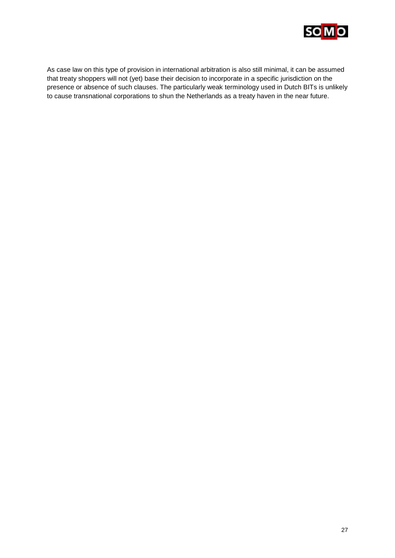

As case law on this type of provision in international arbitration is also still minimal, it can be assumed that treaty shoppers will not (yet) base their decision to incorporate in a specific jurisdiction on the presence or absence of such clauses. The particularly weak terminology used in Dutch BITs is unlikely to cause transnational corporations to shun the Netherlands as a treaty haven in the near future.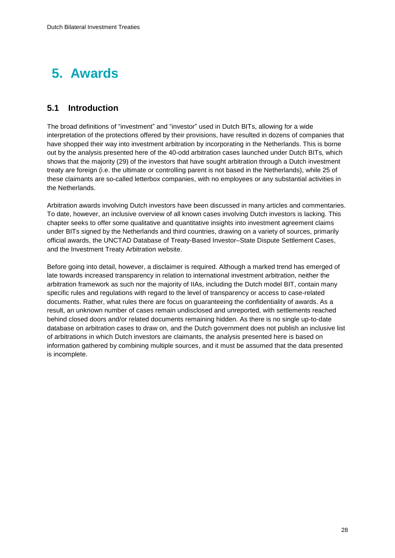## <span id="page-29-0"></span>**5. Awards**

## <span id="page-29-1"></span>**5.1 Introduction**

The broad definitions of "investment" and "investor" used in Dutch BITs, allowing for a wide interpretation of the protections offered by their provisions, have resulted in dozens of companies that have shopped their way into investment arbitration by incorporating in the Netherlands. This is borne out by the analysis presented here of the 40-odd arbitration cases launched under Dutch BITs, which shows that the majority (29) of the investors that have sought arbitration through a Dutch investment treaty are foreign (i.e. the ultimate or controlling parent is not based in the Netherlands), while 25 of these claimants are so-called letterbox companies, with no employees or any substantial activities in the Netherlands.

Arbitration awards involving Dutch investors have been discussed in many articles and commentaries. To date, however, an inclusive overview of all known cases involving Dutch investors is lacking. This chapter seeks to offer some qualitative and quantitative insights into investment agreement claims under BITs signed by the Netherlands and third countries, drawing on a variety of sources, primarily official awards, the UNCTAD Database of Treaty-Based Investor–State Dispute Settlement Cases, and the Investment Treaty Arbitration website.

<span id="page-29-2"></span>Before going into detail, however, a disclaimer is required. Although a marked trend has emerged of late towards increased transparency in relation to international investment arbitration, neither the arbitration framework as such nor the majority of IIAs, including the Dutch model BIT, contain many specific rules and regulations with regard to the level of transparency or access to case-related documents. Rather, what rules there are focus on guaranteeing the confidentiality of awards. As a result, an unknown number of cases remain undisclosed and unreported, with settlements reached behind closed doors and/or related documents remaining hidden. As there is no single up-to-date database on arbitration cases to draw on, and the Dutch government does not publish an inclusive list of arbitrations in which Dutch investors are claimants, the analysis presented here is based on information gathered by combining multiple sources, and it must be assumed that the data presented is incomplete.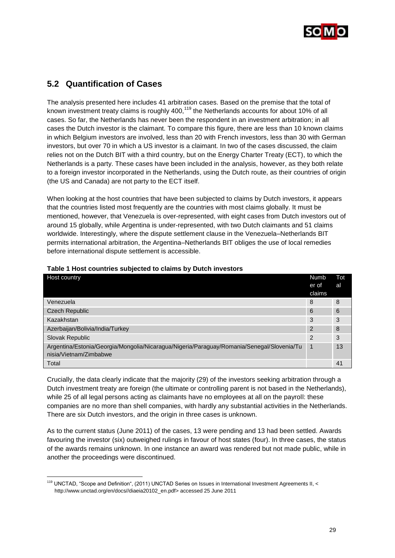

## **5.2 Quantification of Cases**

l

The analysis presented here includes 41 arbitration cases. Based on the premise that the total of known investment treaty claims is roughly 400, $^{119}$  the Netherlands accounts for about 10% of all cases. So far, the Netherlands has never been the respondent in an investment arbitration; in all cases the Dutch investor is the claimant. To compare this figure, there are less than 10 known claims in which Belgium investors are involved, less than 20 with French investors, less than 30 with German investors, but over 70 in which a US investor is a claimant. In two of the cases discussed, the claim relies not on the Dutch BIT with a third country, but on the Energy Charter Treaty (ECT), to which the Netherlands is a party. These cases have been included in the analysis, however, as they both relate to a foreign investor incorporated in the Netherlands, using the Dutch route, as their countries of origin (the US and Canada) are not party to the ECT itself.

When looking at the host countries that have been subjected to claims by Dutch investors, it appears that the countries listed most frequently are the countries with most claims globally. It must be mentioned, however, that Venezuela is over-represented, with eight cases from Dutch investors out of around 15 globally, while Argentina is under-represented, with two Dutch claimants and 51 claims worldwide. Interestingly, where the dispute settlement clause in the Venezuela–Netherlands BIT permits international arbitration, the Argentina–Netherlands BIT obliges the use of local remedies before international dispute settlement is accessible.

| Host country                                                                                                        | <b>Numb</b><br>er of | Tot<br>al |
|---------------------------------------------------------------------------------------------------------------------|----------------------|-----------|
|                                                                                                                     | claims               |           |
| Venezuela                                                                                                           | 8                    | 8         |
| <b>Czech Republic</b>                                                                                               | 6                    | 6         |
| Kazakhstan                                                                                                          | 3                    | 3         |
| Azerbaijan/Bolivia/India/Turkey                                                                                     | 2                    | 8         |
| Slovak Republic                                                                                                     | 2                    | 3         |
| Argentina/Estonia/Georgia/Mongolia/Nicaragua/Nigeria/Paraguay/Romania/Senegal/Slovenia/Tu<br>nisia/Vietnam/Zimbabwe |                      | 13        |
| Total                                                                                                               |                      | 41        |

#### **Table 1 Host countries subjected to claims by Dutch investors**

Crucially, the data clearly indicate that the majority (29) of the investors seeking arbitration through a Dutch investment treaty are foreign (the ultimate or controlling parent is not based in the Netherlands), while 25 of all legal persons acting as claimants have no employees at all on the payroll: these companies are no more than shell companies, with hardly any substantial activities in the Netherlands. There are six Dutch investors, and the origin in three cases is unknown.

As to the current status (June 2011) of the cases, 13 were pending and 13 had been settled. Awards favouring the investor (six) outweighed rulings in favour of host states (four). In three cases, the status of the awards remains unknown. In one instance an award was rendered but not made public, while in another the proceedings were discontinued.

<sup>&</sup>lt;sup>119</sup> UNCTAD. "Scope and Definition", (2011) UNCTAD Series on Issues in International Investment Agreements II, < [http://www.unctad.org/en/docs//diaeia20102\\_en.pdf>](http://www.unctad.org/en/docs/diaeia20102_en.pdf) accessed 25 June 2011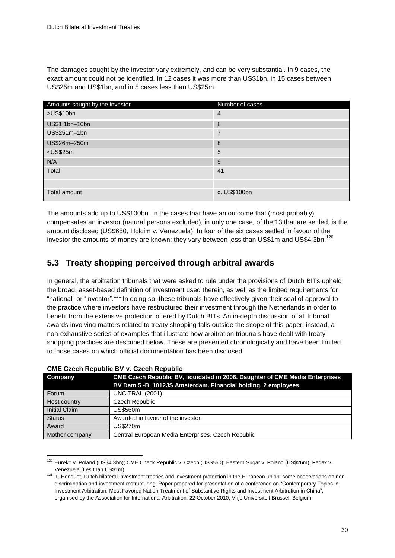The damages sought by the investor vary extremely, and can be very substantial. In 9 cases, the exact amount could not be identified. In 12 cases it was more than US\$1bn, in 15 cases between US\$25m and US\$1bn, and in 5 cases less than US\$25m.

| Amounts sought by the investor | Number of cases |
|--------------------------------|-----------------|
| >US\$10bn                      | $\overline{4}$  |
| US\$1.1bn-10bn                 | 8               |
| US\$251m-1bn                   | $\overline{7}$  |
| US\$26m-250m                   | 8               |
| $<$ US\$25m                    | 5               |
| N/A                            | 9               |
| Total                          | 41              |
|                                |                 |
| Total amount                   | c. US\$100bn    |

The amounts add up to US\$100bn. In the cases that have an outcome that (most probably) compensates an investor (natural persons excluded), in only one case, of the 13 that are settled, is the amount disclosed (US\$650, Holcim v. Venezuela). In four of the six cases settled in favour of the investor the amounts of money are known: they vary between less than US\$1m and US\$4.3bn.<sup>120</sup>

## <span id="page-31-0"></span>**5.3 Treaty shopping perceived through arbitral awards**

In general, the arbitration tribunals that were asked to rule under the provisions of Dutch BITs upheld the broad, asset-based definition of investment used therein, as well as the limited requirements for "national" or "investor".<sup>121</sup> In doing so, these tribunals have effectively given their seal of approval to the practice where investors have restructured their investment through the Netherlands in order to benefit from the extensive protection offered by Dutch BITs. An in-depth discussion of all tribunal awards involving matters related to treaty shopping falls outside the scope of this paper; instead, a non-exhaustive series of examples that illustrate how arbitration tribunals have dealt with treaty shopping practices are described below. These are presented chronologically and have been limited to those cases on which official documentation has been disclosed.

| Company              | CME Czech Republic BV, liquidated in 2006. Daughter of CME Media Enterprises<br>BV Dam 5 -B, 1012JS Amsterdam. Financial holding, 2 employees. |
|----------------------|------------------------------------------------------------------------------------------------------------------------------------------------|
| Forum                | UNCITRAL (2001)                                                                                                                                |
| Host country         | Czech Republic                                                                                                                                 |
| <b>Initial Claim</b> | US\$560m                                                                                                                                       |
| <b>Status</b>        | Awarded in favour of the investor                                                                                                              |
| Award                | US\$270m                                                                                                                                       |
| Mother company       | Central European Media Enterprises, Czech Republic                                                                                             |

#### **CME Czech Republic BV v. Czech Republic**

<sup>&</sup>lt;sup>120</sup> Eureko v. Poland (US\$4.3bn); CME Check Republic v. Czech (US\$560); Eastern Sugar v. Poland (US\$26m); Fedax v. Venezuela (Les than US\$1m)

<sup>&</sup>lt;sup>121</sup> T. Henquet, Dutch bilateral investment treaties and investment protection in the European union: some observations on nondiscrimination and investment restructuring; Paper prepared for presentation at a conference on "Contemporary Topics in Investment Arbitration: Most Favored Nation Treatment of Substantive Rights and Investment Arbitration in China", organised by the Association for International Arbitration, 22 October 2010, Vrije Universiteit Brussel, Belgium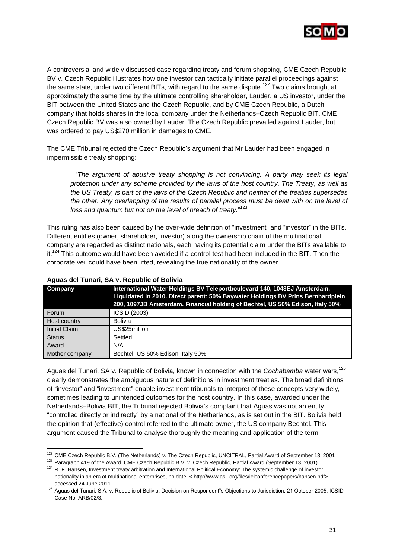

A controversial and widely discussed case regarding treaty and forum shopping, CME Czech Republic BV v. Czech Republic illustrates how one investor can tactically initiate parallel proceedings against the same state, under two different BITs, with regard to the same dispute.<sup>122</sup> Two claims brought at approximately the same time by the ultimate controlling shareholder, Lauder, a US investor, under the BIT between the United States and the Czech Republic, and by CME Czech Republic, a Dutch company that holds shares in the local company under the Netherlands–Czech Republic BIT. CME Czech Republic BV was also owned by Lauder. The Czech Republic prevailed against Lauder, but was ordered to pay US\$270 million in damages to CME.

The CME Tribunal rejected the Czech Republic"s argument that Mr Lauder had been engaged in impermissible treaty shopping:

"*The argument of abusive treaty shopping is not convincing. A party may seek its legal protection under any scheme provided by the laws of the host country. The Treaty, as well as the US Treaty, is part of the laws of the Czech Republic and neither of the treaties supersedes the other. Any overlapping of the results of parallel process must be dealt with on the level of loss and quantum but not on the level of breach of treaty.*" 123

This ruling has also been caused by the over-wide definition of "investment" and "investor" in the BITs. Different entities (owner, shareholder, investor) along the ownership chain of the multinational company are regarded as distinct nationals, each having its potential claim under the BITs available to it.<sup>124</sup> This outcome would have been avoided if a control test had been included in the BIT. Then the corporate veil could have been lifted, revealing the true nationality of the owner.

| Company              | International Water Holdings BV Teleportboulevard 140, 1043EJ Amsterdam.<br>Liquidated in 2010. Direct parent: 50% Baywater Holdings BV Prins Bernhardplein<br>200, 1097JB Amsterdam. Financial holding of Bechtel, US 50% Edison, Italy 50% |
|----------------------|----------------------------------------------------------------------------------------------------------------------------------------------------------------------------------------------------------------------------------------------|
| Forum                | ICSID (2003)                                                                                                                                                                                                                                 |
| Host country         | Bolivia                                                                                                                                                                                                                                      |
| <b>Initial Claim</b> | US\$25million                                                                                                                                                                                                                                |
| <b>Status</b>        | Settled                                                                                                                                                                                                                                      |
| Award                | N/A                                                                                                                                                                                                                                          |
| Mother company       | Bechtel, US 50% Edison, Italy 50%                                                                                                                                                                                                            |

#### **Aguas del Tunari, SA v. Republic of Bolivia**

l

Aguas del Tunari, SA v. Republic of Bolivia, known in connection with the *Cochabamba* water wars, 125 clearly demonstrates the ambiguous nature of definitions in investment treaties. The broad definitions of "investor" and "investment" enable investment tribunals to interpret of these concepts very widely, sometimes leading to unintended outcomes for the host country. In this case, awarded under the Netherlands–Bolivia BIT, the Tribunal rejected Bolivia"s complaint that Aguas was not an entity "controlled directly or indirectly" by a national of the Netherlands, as is set out in the BIT. Bolivia held the opinion that (effective) control referred to the ultimate owner, the US company Bechtel. This argument caused the Tribunal to analyse thoroughly the meaning and application of the term

<sup>&</sup>lt;sup>122</sup> CME Czech Republic B.V. (The Netherlands) v. The Czech Republic, UNCITRAL, Partial Award of September 13, 2001

<sup>123</sup> Paragraph 419 of the Award. CME Czech Republic B.V. v. Czech Republic, Partial Award (September 13, 2001) <sup>124</sup> R. F. Hansen, Investment treaty arbitration and International Political Economy: The systemic challenge of investor nationality in an era of multinational enterprises, no date, < http://www.asil.org/files/ielconferencepapers/hansen.pdf>

accessed 24 June 2011

<sup>125</sup> Aguas del Tunari, S.A. v. Republic of Bolivia, Decision on Respondent"s Objections to Jurisdiction, 21 October 2005, ICSID Case No. ARB/02/3,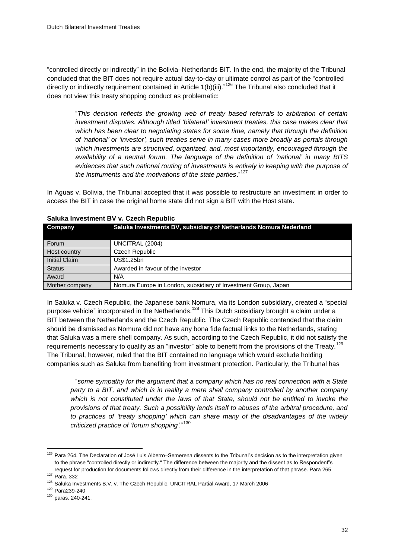"controlled directly or indirectly" in the Bolivia–Netherlands BIT. In the end, the majority of the Tribunal concluded that the BIT does not require actual day-to-day or ultimate control as part of the "controlled directly or indirectly requirement contained in Article 1(b)(iii)."<sup>126</sup> The Tribunal also concluded that it does not view this treaty shopping conduct as problematic:

"*This decision reflects the growing web of treaty based referrals to arbitration of certain investment disputes. Although titled "bilateral" investment treaties, this case makes clear that which has been clear to negotiating states for some time, namely that through the definition of "national" or "investor", such treaties serve in many cases more broadly as portals through which investments are structured, organized, and, most importantly, encouraged through the availability of a neutral forum. The language of the definition of "national" in many BITS evidences that such national routing of investments is entirely in keeping with the purpose of the instruments and the motivations of the state parties*." 127

In Aguas v. Bolivia, the Tribunal accepted that it was possible to restructure an investment in order to access the BIT in case the original home state did not sign a BIT with the Host state.

| <b>Company</b>       | Saluka Investments BV, subsidiary of Netherlands Nomura Nederland |
|----------------------|-------------------------------------------------------------------|
| Forum                | UNCITRAL (2004)                                                   |
| Host country         | Czech Republic                                                    |
| <b>Initial Claim</b> | US\$1.25bn                                                        |
| <b>Status</b>        | Awarded in favour of the investor                                 |
| Award                | N/A                                                               |
| Mother company       | Nomura Europe in London, subsidiary of Investment Group, Japan    |

#### **Saluka Investment BV v. Czech Republic**

In Saluka v. Czech Republic, the Japanese bank Nomura, via its London subsidiary, created a "special purpose vehicle" incorporated in the Netherlands.<sup>128</sup> This Dutch subsidiary brought a claim under a BIT between the Netherlands and the Czech Republic. The Czech Republic contended that the claim should be dismissed as Nomura did not have any bona fide factual links to the Netherlands, stating that Saluka was a mere shell company. As such, according to the Czech Republic, it did not satisfy the requirements necessary to qualify as an "investor" able to benefit from the provisions of the Treaty.<sup>129</sup> The Tribunal, however, ruled that the BIT contained no language which would exclude holding companies such as Saluka from benefiting from investment protection. Particularly, the Tribunal has

"*some sympathy for the argument that a company which has no real connection with a State party to a BIT, and which is in reality a mere shell company controlled by another company which is not constituted under the laws of that State, should not be entitled to invoke the provisions of that treaty. Such a possibility lends itself to abuses of the arbitral procedure, and to practices of "treaty shopping" which can share many of the disadvantages of the widely criticized practice of "forum shopping".*" 130

<sup>&</sup>lt;sup>126</sup> Para 264. The Declaration of José Luis Alberro–Semerena dissents to the Tribunal"s decision as to the interpretation given to the phrase "controlled directly or indirectly." The difference between the majority and the dissent as to Respondent"s request for production for documents follows directly from their difference in the interpretation of that phrase. Para 265

<sup>127</sup> Para. 332

<sup>&</sup>lt;sup>128</sup> Saluka Investments B.V. v. The Czech Republic, UNCITRAL Partial Award, 17 March 2006

<sup>129</sup> Para239-240

<sup>130</sup> paras. 240-241.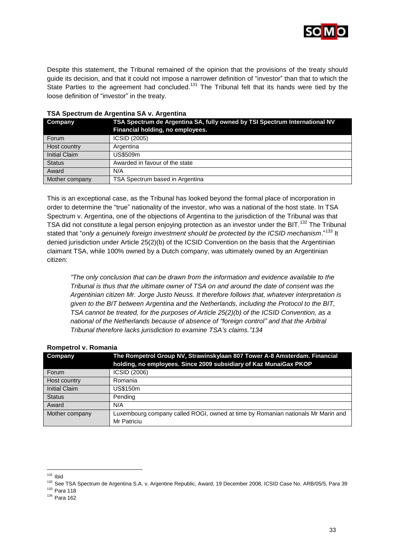

Despite this statement, the Tribunal remained of the opinion that the provisions of the treaty should guide its decision, and that it could not impose a narrower definition of "investor" than that to which the State Parties to the agreement had concluded.<sup>131</sup> The Tribunal felt that its hands were tied by the loose definition of "investor" in the treaty.

| Company              | TSA Spectrum de Argentina SA, fully owned by TSI Spectrum International NV<br>Financial holding, no employees. |
|----------------------|----------------------------------------------------------------------------------------------------------------|
| Forum                | ICSID (2005)                                                                                                   |
| Host country         | Argentina                                                                                                      |
| <b>Initial Claim</b> | US\$509m                                                                                                       |
| <b>Status</b>        | Awarded in favour of the state                                                                                 |
| Award                | N/A                                                                                                            |
| Mother company       | TSA Spectrum based in Argentina                                                                                |

#### **TSA Spectrum de Argentina SA v. Argentina**

This is an exceptional case, as the Tribunal has looked beyond the formal place of incorporation in order to determine the "true" nationality of the investor, who was a national of the host state. In TSA Spectrum v. Argentina, one of the objections of Argentina to the jurisdiction of the Tribunal was that TSA did not constitute a legal person enjoying protection as an investor under the BIT.<sup>132</sup> The Tribunal stated that "*only a genuinely foreign investment should be protected by the ICSID mechanism*." <sup>133</sup> It denied jurisdiction under Article 25(2)(b) of the ICSID Convention on the basis that the Argentinian claimant TSA, while 100% owned by a Dutch company, was ultimately owned by an Argentinian citizen:

*"The only conclusion that can be drawn from the information and evidence available to the Tribunal is thus that the ultimate owner of TSA on and around the date of consent was the Argentinian citizen Mr. Jorge Justo Neuss. It therefore follows that, whatever interpretation is given to the BIT between Argentina and the Netherlands, including the Protocol to the BIT, TSA cannot be treated, for the purposes of Article 25(2)(b) of the ICSID Convention, as a national of the Netherlands because of absence of "foreign control" and that the Arbitral Tribunal therefore lacks jurisdiction to examine TSA"s claims."134*

| Company              | The Rompetrol Group NV, Strawinskylaan 807 Tower A-8 Amsterdam. Financial<br>holding, no employees. Since 2009 subsidiary of Kaz MunaiGax PKOP |  |  |  |  |  |
|----------------------|------------------------------------------------------------------------------------------------------------------------------------------------|--|--|--|--|--|
| Forum                | ICSID (2006)                                                                                                                                   |  |  |  |  |  |
| Host country         | Romania                                                                                                                                        |  |  |  |  |  |
| <b>Initial Claim</b> | US\$150m                                                                                                                                       |  |  |  |  |  |
| <b>Status</b>        | Pending                                                                                                                                        |  |  |  |  |  |
| Award                | N/A                                                                                                                                            |  |  |  |  |  |
| Mother company       | Luxembourg company called ROGI, owned at time by Romanian nationals Mr Marin and<br>Mr Patriciu                                                |  |  |  |  |  |

#### **Rompetrol v. Romania**

<sup>&</sup>lt;sup>131</sup> Ibid

<sup>132</sup> See TSA Spectrum de Argentina S.A. v. Argentine Republic, Award, 19 December 2008, ICSID Case No. ARB/05/5, Para 39

<sup>133</sup> Para 118

<sup>134</sup> Para 162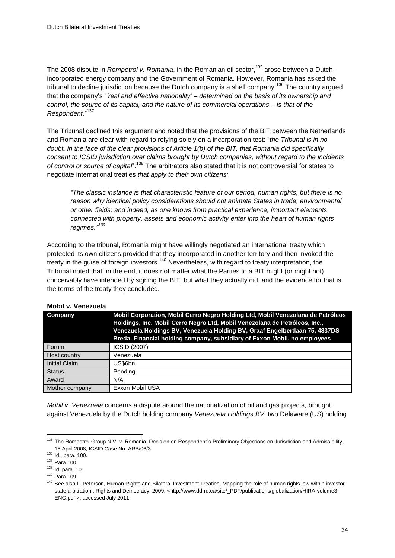The 2008 dispute in *Rompetrol v. Romania*, in the Romanian oil sector,<sup>135</sup> arose between a Dutchincorporated energy company and the Government of Romania. However, Romania has asked the tribunal to decline jurisdiction because the Dutch company is a shell company.<sup>136</sup> The country arqued that the company"s "*"real and effective nationality" – determined on the basis of its ownership and control, the source of its capital, and the nature of its commercial operations – is that of the Respondent.*" 137

The Tribunal declined this argument and noted that the provisions of the BIT between the Netherlands and Romania are clear with regard to relying solely on a incorporation test: "*the Tribunal is in no doub*t*, in the face of the clear provisions of Article 1(b) of the BIT, that Romania did specifically consent to ICSID jurisdiction over claims brought by Dutch companies, without regard to the incidents of control or source of capital*". <sup>138</sup> The arbitrators also stated that it is not controversial for states to negotiate international treaties *that apply to their own citizens:*

*"The classic instance is that characteristic feature of our period, human rights, but there is no reason why identical policy considerations should not animate States in trade, environmental or other fields; and indeed, as one knows from practical experience, important elements connected with property, assets and economic activity enter into the heart of human rights regimes." 139*

According to the tribunal, Romania might have willingly negotiated an international treaty which protected its own citizens provided that they incorporated in another territory and then invoked the treaty in the guise of foreign investors.<sup>140</sup> Nevertheless, with regard to treaty interpretation, the Tribunal noted that, in the end, it does not matter what the Parties to a BIT might (or might not) conceivably have intended by signing the BIT, but what they actually did, and the evidence for that is the terms of the treaty they concluded.

| <b>Company</b>       | Mobil Corporation, Mobil Cerro Negro Holding Ltd, Mobil Venezolana de Petróleos<br>Holdings, Inc. Mobil Cerro Negro Ltd, Mobil Venezolana de Petróleos, Inc.,<br>Venezuela Holdings BV, Venezuela Holding BV, Graaf Engelbertlaan 75, 4837DS<br>Breda. Financial holding company, subsidiary of Exxon Mobil, no employees |
|----------------------|---------------------------------------------------------------------------------------------------------------------------------------------------------------------------------------------------------------------------------------------------------------------------------------------------------------------------|
| Forum                | ICSID (2007)                                                                                                                                                                                                                                                                                                              |
| Host country         | Venezuela                                                                                                                                                                                                                                                                                                                 |
| <b>Initial Claim</b> | US\$6bn                                                                                                                                                                                                                                                                                                                   |
| <b>Status</b>        | Pending                                                                                                                                                                                                                                                                                                                   |
| Award                | N/A                                                                                                                                                                                                                                                                                                                       |
| Mother company       | Exxon Mobil USA                                                                                                                                                                                                                                                                                                           |

#### **Mobil v. Venezuela**

*Mobil v. Venezuela* concerns a dispute around the nationalization of oil and gas projects, brought against Venezuela by the Dutch holding company *Venezuela Holdings BV*, two Delaware (US) holding

<sup>&</sup>lt;sup>135</sup> The Rompetrol Group N.V. v. Romania, Decision on Respondent"s Preliminary Objections on Jurisdiction and Admissibility, 18 April 2008, ICSID Case No. ARB/06/3

<sup>136</sup> Id., para. 100.

<sup>137</sup> Para 100

<sup>138</sup> Id. para. 101.

<sup>139</sup> Para 109

<sup>&</sup>lt;sup>140</sup> See also L. Peterson, Human Rights and Bilateral Investment Treaties, Mapping the role of human rights law within investor-state arbitration , Rights and Democracy, 2009, [<http://www.dd-rd.ca/site/\\_PDF/publications/globalization/HIRA-volume3-](http://www.dd-rd.ca/site/_PDF/publications/globalization/HIRA-volume3-ENG.pdf) [ENG.pdf](http://www.dd-rd.ca/site/_PDF/publications/globalization/HIRA-volume3-ENG.pdf) >, accessed July 2011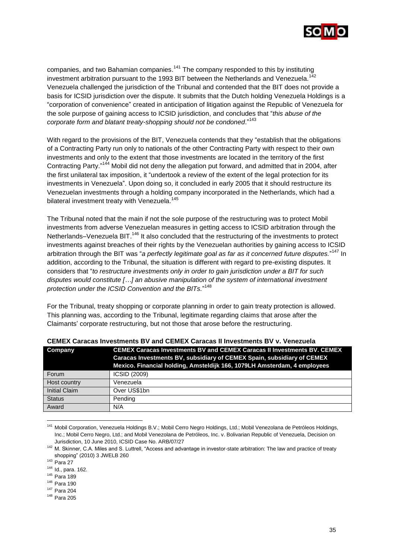

companies, and two Bahamian companies.<sup>141</sup> The company responded to this by instituting investment arbitration pursuant to the 1993 BIT between the Netherlands and Venezuela.<sup>142</sup> Venezuela challenged the jurisdiction of the Tribunal and contended that the BIT does not provide a basis for ICSID jurisdiction over the dispute. It submits that the Dutch holding Venezuela Holdings is a "corporation of convenience" created in anticipation of litigation against the Republic of Venezuela for the sole purpose of gaining access to ICSID jurisdiction, and concludes that "*this abuse of the corporate form and blatant treaty-shopping should not be condoned*." 143

With regard to the provisions of the BIT, Venezuela contends that they "establish that the obligations of a Contracting Party run only to nationals of the other Contracting Party with respect to their own investments and only to the extent that those investments are located in the territory of the first Contracting Party."<sup>144</sup> Mobil did not deny the allegation put forward, and admitted that in 2004, after the first unilateral tax imposition, it "undertook a review of the extent of the legal protection for its investments in Venezuela". Upon doing so, it concluded in early 2005 that it should restructure its Venezuelan investments through a holding company incorporated in the Netherlands, which had a bilateral investment treaty with Venezuela.<sup>145</sup>

The Tribunal noted that the main if not the sole purpose of the restructuring was to protect Mobil investments from adverse Venezuelan measures in getting access to ICSID arbitration through the Netherlands–Venezuela BIT.<sup>146</sup> It also concluded that the restructuring of the investments to protect investments against breaches of their rights by the Venezuelan authorities by gaining access to ICSID arbitration through the BIT was "*a perfectly legitimate goal as far as it concerned future disputes.*" <sup>147</sup> In addition, according to the Tribunal, the situation is different with regard to pre-existing disputes. It considers that "*to restructure investments only in order to gain jurisdiction under a BIT for such disputes would constitute […] an abusive manipulation of the system of international investment protection under the ICSID Convention and the BITs.*" 148

For the Tribunal, treaty shopping or corporate planning in order to gain treaty protection is allowed. This planning was, according to the Tribunal, legitimate regarding claims that arose after the Claimants" corporate restructuring, but not those that arose before the restructuring.

| Company              | <b>CEMEX Caracas Investments BV and CEMEX Caracas II Investments BV, CEMEX</b>                                                                     |  |  |  |  |  |
|----------------------|----------------------------------------------------------------------------------------------------------------------------------------------------|--|--|--|--|--|
|                      | Caracas Investments BV, subsidiary of CEMEX Spain, subsidiary of CEMEX<br>Mexico. Financial holding, Amsteldijk 166, 1079LH Amsterdam, 4 employees |  |  |  |  |  |
| Forum                | ICSID (2009)                                                                                                                                       |  |  |  |  |  |
| Host country         | Venezuela                                                                                                                                          |  |  |  |  |  |
| <b>Initial Claim</b> | Over US\$1bn                                                                                                                                       |  |  |  |  |  |
| <b>Status</b>        | Pending                                                                                                                                            |  |  |  |  |  |
| Award                | N/A                                                                                                                                                |  |  |  |  |  |

#### **CEMEX Caracas Investments BV and CEMEX Caracas II Investments BV v. Venezuela**

<sup>141</sup> Mobil Corporation, Venezuela Holdings B.V.; Mobil Cerro Negro Holdings, Ltd.; Mobil Venezolana de Petróleos Holdings, Inc.; Mobil Cerro Negro, Ltd.; and Mobil Venezolana de Petróleos, Inc. v. Bolivarian Republic of Venezuela, Decision on Jurisdiction, 10 June 2010, ICSID Case No. ARB/07/27

<sup>142</sup> M. Skinner, C.A. Miles and S. Luttrell, "Access and advantage in investor-state arbitration: The law and practice of treaty shopping" (2010) 3 JWELB 260

<sup>143</sup> Para 27

<sup>144</sup> Id., para. 162.

<sup>145</sup> Para 189

<sup>146</sup> Para 190

<sup>147</sup> Para 204

<sup>148</sup> Para 205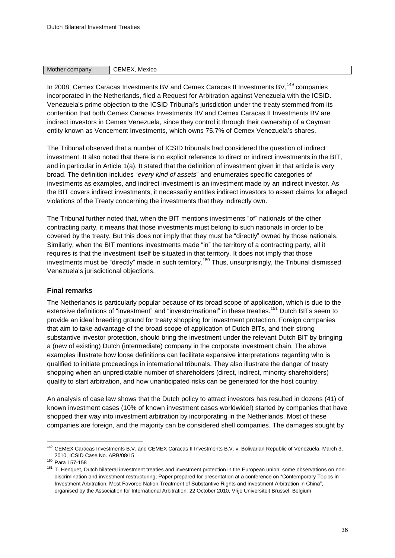| Mother<br>company | :ME<br>Mexico<br>. . |
|-------------------|----------------------|

In 2008, Cemex Caracas Investments BV and Cemex Caracas II Investments BV,<sup>149</sup> companies incorporated in the Netherlands, filed a Request for Arbitration against Venezuela with the ICSID. Venezuela"s prime objection to the ICSID Tribunal"s jurisdiction under the treaty stemmed from its contention that both Cemex Caracas Investments BV and Cemex Caracas II Investments BV are indirect investors in Cemex Venezuela, since they control it through their ownership of a Cayman entity known as Vencement Investments, which owns 75.7% of Cemex Venezuela"s shares.

The Tribunal observed that a number of ICSID tribunals had considered the question of indirect investment. It also noted that there is no explicit reference to direct or indirect investments in the BIT, and in particular in Article 1(a). It stated that the definition of investment given in that article is very broad. The definition includes "*every kind of assets*" and enumerates specific categories of investments as examples, and indirect investment is an investment made by an indirect investor. As the BIT covers indirect investments, it necessarily entitles indirect investors to assert claims for alleged violations of the Treaty concerning the investments that they indirectly own.

The Tribunal further noted that, when the BIT mentions investments "of" nationals of the other contracting party, it means that those investments must belong to such nationals in order to be covered by the treaty. But this does not imply that they must be "directly" owned by those nationals. Similarly, when the BIT mentions investments made "in" the territory of a contracting party, all it requires is that the investment itself be situated in that territory. It does not imply that those investments must be "directly" made in such territory.<sup>150</sup> Thus, unsurprisingly, the Tribunal dismissed Venezuela"s jurisdictional objections.

#### **Final remarks**

The Netherlands is particularly popular because of its broad scope of application, which is due to the extensive definitions of "investment" and "investor/national" in these treaties.<sup>151</sup> Dutch BITs seem to provide an ideal breeding ground for treaty shopping for investment protection. Foreign companies that aim to take advantage of the broad scope of application of Dutch BITs, and their strong substantive investor protection, should bring the investment under the relevant Dutch BIT by bringing a (new of existing) Dutch (intermediate) company in the corporate investment chain. The above examples illustrate how loose definitions can facilitate expansive interpretations regarding who is qualified to initiate proceedings in international tribunals. They also illustrate the danger of treaty shopping when an unpredictable number of shareholders (direct, indirect, minority shareholders) qualify to start arbitration, and how unanticipated risks can be generated for the host country.

An analysis of case law shows that the Dutch policy to attract investors has resulted in dozens (41) of known investment cases (10% of known investment cases worldwide!) started by companies that have shopped their way into investment arbitration by incorporating in the Netherlands. Most of these companies are foreign, and the majority can be considered shell companies. The damages sought by

<sup>149</sup> CEMEX Caracas Investments B.V. and CEMEX Caracas II Investments B.V. v. Bolivarian Republic of Venezuela, March 3, 2010, ICSID Case No. ARB/08/15

<sup>150</sup> Para 157-158

<sup>&</sup>lt;sup>151</sup> T. Henquet, Dutch bilateral investment treaties and investment protection in the European union: some observations on nondiscrimination and investment restructuring; Paper prepared for presentation at a conference on "Contemporary Topics in Investment Arbitration: Most Favored Nation Treatment of Substantive Rights and Investment Arbitration in China", organised by the Association for International Arbitration, 22 October 2010, Vrije Universiteit Brussel, Belgium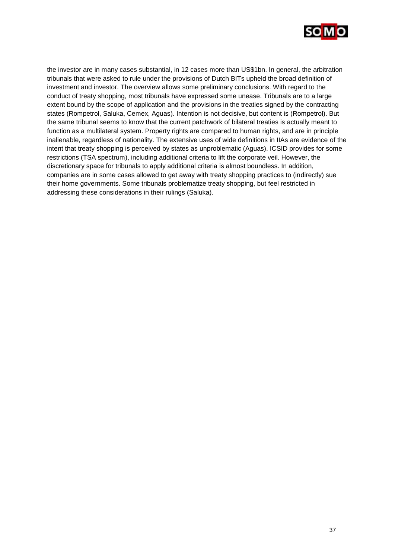

the investor are in many cases substantial, in 12 cases more than US\$1bn. In general, the arbitration tribunals that were asked to rule under the provisions of Dutch BITs upheld the broad definition of investment and investor. The overview allows some preliminary conclusions. With regard to the conduct of treaty shopping, most tribunals have expressed some unease. Tribunals are to a large extent bound by the scope of application and the provisions in the treaties signed by the contracting states (Rompetrol, Saluka, Cemex, Aguas). Intention is not decisive, but content is (Rompetrol). But the same tribunal seems to know that the current patchwork of bilateral treaties is actually meant to function as a multilateral system. Property rights are compared to human rights, and are in principle inalienable, regardless of nationality. The extensive uses of wide definitions in IIAs are evidence of the intent that treaty shopping is perceived by states as unproblematic (Aguas). ICSID provides for some restrictions (TSA spectrum), including additional criteria to lift the corporate veil. However, the discretionary space for tribunals to apply additional criteria is almost boundless. In addition, companies are in some cases allowed to get away with treaty shopping practices to (indirectly) sue their home governments. Some tribunals problematize treaty shopping, but feel restricted in addressing these considerations in their rulings (Saluka).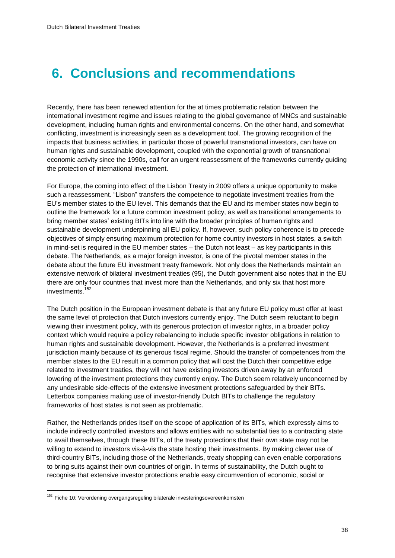## <span id="page-39-0"></span>**6. Conclusions and recommendations**

Recently, there has been renewed attention for the at times problematic relation between the international investment regime and issues relating to the global governance of MNCs and sustainable development, including human rights and environmental concerns. On the other hand, and somewhat conflicting, investment is increasingly seen as a development tool. The growing recognition of the impacts that business activities, in particular those of powerful transnational investors, can have on human rights and sustainable development, coupled with the exponential growth of transnational economic activity since the 1990s, call for an urgent reassessment of the frameworks currently guiding the protection of international investment.

For Europe, the coming into effect of the Lisbon Treaty in 2009 offers a unique opportunity to make such a reassessment. "Lisbon" transfers the competence to negotiate investment treaties from the EU"s member states to the EU level. This demands that the EU and its member states now begin to outline the framework for a future common investment policy, as well as transitional arrangements to bring member states" existing BITs into line with the broader principles of human rights and sustainable development underpinning all EU policy. If, however, such policy coherence is to precede objectives of simply ensuring maximum protection for home country investors in host states, a switch in mind-set is required in the EU member states – the Dutch not least – as key participants in this debate. The Netherlands, as a major foreign investor, is one of the pivotal member states in the debate about the future EU investment treaty framework. Not only does the Netherlands maintain an extensive network of bilateral investment treaties (95), the Dutch government also notes that in the EU there are only four countries that invest more than the Netherlands, and only six that host more investments.<sup>152</sup>

The Dutch position in the European investment debate is that any future EU policy must offer at least the same level of protection that Dutch investors currently enjoy. The Dutch seem reluctant to begin viewing their investment policy, with its generous protection of investor rights, in a broader policy context which would require a policy rebalancing to include specific investor obligations in relation to human rights and sustainable development. However, the Netherlands is a preferred investment jurisdiction mainly because of its generous fiscal regime. Should the transfer of competences from the member states to the EU result in a common policy that will cost the Dutch their competitive edge related to investment treaties, they will not have existing investors driven away by an enforced lowering of the investment protections they currently enjoy. The Dutch seem relatively unconcerned by any undesirable side-effects of the extensive investment protections safeguarded by their BITs. Letterbox companies making use of investor-friendly Dutch BITs to challenge the regulatory frameworks of host states is not seen as problematic.

Rather, the Netherlands prides itself on the scope of application of its BITs, which expressly aims to include indirectly controlled investors and allows entities with no substantial ties to a contracting state to avail themselves, through these BITs, of the treaty protections that their own state may not be willing to extend to investors vis-à-vis the state hosting their investments. By making clever use of third-country BITs, including those of the Netherlands, treaty shopping can even enable corporations to bring suits against their own countries of origin. In terms of sustainability, the Dutch ought to recognise that extensive investor protections enable easy circumvention of economic, social or

<sup>&</sup>lt;sup>152</sup> Fiche 10: Verordening overgangsregeling bilaterale investeringsovereenkomsten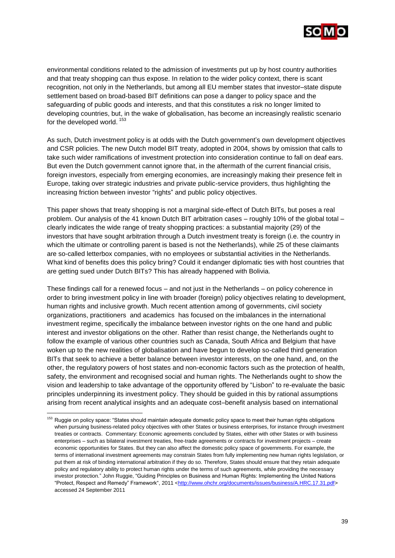

environmental conditions related to the admission of investments put up by host country authorities and that treaty shopping can thus expose. In relation to the wider policy context, there is scant recognition, not only in the Netherlands, but among all EU member states that investor–state dispute settlement based on broad-based BIT definitions can pose a danger to policy space and the safeguarding of public goods and interests, and that this constitutes a risk no longer limited to developing countries, but, in the wake of globalisation, has become an increasingly realistic scenario for the developed world.  $153$ 

As such, Dutch investment policy is at odds with the Dutch government's own development objectives and CSR policies. The new Dutch model BIT treaty, adopted in 2004, shows by omission that calls to take such wider ramifications of investment protection into consideration continue to fall on deaf ears. But even the Dutch government cannot ignore that, in the aftermath of the current financial crisis, foreign investors, especially from emerging economies, are increasingly making their presence felt in Europe, taking over strategic industries and private public-service providers, thus highlighting the increasing friction between investor "rights" and public policy objectives.

This paper shows that treaty shopping is not a marginal side-effect of Dutch BITs, but poses a real problem. Our analysis of the 41 known Dutch BIT arbitration cases – roughly 10% of the global total – clearly indicates the wide range of treaty shopping practices: a substantial majority (29) of the investors that have sought arbitration through a Dutch investment treaty is foreign (i.e. the country in which the ultimate or controlling parent is based is not the Netherlands), while 25 of these claimants are so-called letterbox companies, with no employees or substantial activities in the Netherlands. What kind of benefits does this policy bring? Could it endanger diplomatic ties with host countries that are getting sued under Dutch BITs? This has already happened with Bolivia.

These findings call for a renewed focus – and not just in the Netherlands – on policy coherence in order to bring investment policy in line with broader (foreign) policy objectives relating to development, human rights and inclusive growth. Much recent attention among of governments, civil society organizations, practitioners and academics has focused on the imbalances in the international investment regime, specifically the imbalance between investor rights on the one hand and public interest and investor obligations on the other. Rather than resist change, the Netherlands ought to follow the example of various other countries such as Canada, South Africa and Belgium that have woken up to the new realities of globalisation and have begun to develop so-called third generation BITs that seek to achieve a better balance between investor interests, on the one hand, and, on the other, the regulatory powers of host states and non-economic factors such as the protection of health, safety, the environment and recognised social and human rights. The Netherlands ought to show the vision and leadership to take advantage of the opportunity offered by "Lisbon" to re-evaluate the basic principles underpinning its investment policy. They should be guided in this by rational assumptions arising from recent analytical insights and an adequate cost–benefit analysis based on international

<sup>&</sup>lt;sup>153</sup> Ruggie on policy space: "States should maintain adequate domestic policy space to meet their human rights obligations when pursuing business-related policy objectives with other States or business enterprises, for instance through investment treaties or contracts. Commentary: Economic agreements concluded by States, either with other States or with business enterprises – such as bilateral investment treaties, free-trade agreements or contracts for investment projects – create economic opportunities for States. But they can also affect the domestic policy space of governments. For example, the terms of international investment agreements may constrain States from fully implementing new human rights legislation, or put them at risk of binding international arbitration if they do so. Therefore, States should ensure that they retain adequate policy and regulatory ability to protect human rights under the terms of such agreements, while providing the necessary investor protection." John Ruggie[, "Guiding Principles on Business and Human Rights: Implementing the United Nations](http://www.business-humanrights.org/SpecialRepPortal/Home/Protect-Respect-Remedy-Framework/GuidingPrinciples)  ["Protect, Respect and Remedy" Framework",](http://www.business-humanrights.org/SpecialRepPortal/Home/Protect-Respect-Remedy-Framework/GuidingPrinciples) 2011 [<http://www.ohchr.org/documents/issues/business/A.HRC.17.31.pdf>](http://www.ohchr.org/documents/issues/business/A.HRC.17.31.pdf) accessed 24 September 2011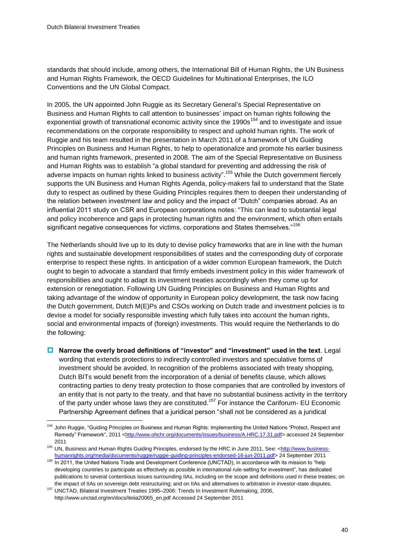l

standards that should include, among others, the International Bill of Human Rights, the UN Business and Human Rights Framework, the OECD Guidelines for Multinational Enterprises, the ILO Conventions and the UN Global Compact.

In 2005, the UN appointed John Ruggie as its Secretary General"s Special Representative on Business and Human Rights to call attention to businesses" impact on human rights following the exponential growth of transnational economic activity since the 1990s<sup>154</sup> and to investigate and issue recommendations on the corporate responsibility to respect and uphold human rights. The work of Ruggie and his team resulted in the presentation in March 2011 of a framework of UN Guiding Principles on Business and Human Rights, to help to operationalize and promote his earlier business and human rights framework, presented in 2008. The aim of the Special Representative on Business and Human Rights was to establish "a global standard for preventing and addressing the risk of adverse impacts on human rights linked to business activity".<sup>155</sup> While the Dutch government fiercely supports the UN Business and Human Rights Agenda, policy-makers fail to understand that the State duty to respect as outlined by these Guiding Principles requires them to deepen their understanding of the relation between investment law and policy and the impact of "Dutch" companies abroad. As an influential 2011 study on CSR and European corporations notes: "This can lead to substantial legal and policy incoherence and gaps in protecting human rights and the environment, which often entails significant negative consequences for victims, corporations and States themselves."<sup>156</sup>

The Netherlands should live up to its duty to devise policy frameworks that are in line with the human rights and sustainable development responsibilities of states and the corresponding duty of corporate enterprise to respect these rights. In anticipation of a wider common European framework, the Dutch ought to begin to advocate a standard that firmly embeds investment policy in this wider framework of responsibilities and ought to adapt its investment treaties accordingly when they come up for extension or renegotiation. Following UN Guiding Principles on Business and Human Rights and taking advantage of the window of opportunity in European policy development, the task now facing the Dutch government, Dutch M(E)Ps and CSOs working on Dutch trade and investment policies is to devise a model for socially responsible investing which fully takes into account the human rights, social and environmental impacts of (foreign) investments. This would require the Netherlands to do the following:

 **Narrow the overly broad definitions of "investor" and "investment" used in the text**. Legal wording that extends protections to indirectly controlled investors and speculative forms of investment should be avoided. In recognition of the problems associated with treaty shopping, Dutch BITs would benefit from the incorporation of a denial of benefits clause, which allows contracting parties to deny treaty protection to those companies that are controlled by investors of an entity that is not party to the treaty, and that have no substantial business activity in the territory of the party under whose laws they are constituted.<sup>157</sup> For instance the Cariforum- EU Economic Partnership Agreement defines that a juridical person "shall not be considered as a juridical

<sup>&</sup>lt;sup>154</sup> John Ruggie, "Guiding Principles on Business and Human Rights: Implementing the United Nations "Protect, Respect and [Remedy" Framework",](http://www.business-humanrights.org/SpecialRepPortal/Home/Protect-Respect-Remedy-Framework/GuidingPrinciples) 2011 [<http://www.ohchr.org/documents/issues/business/A.HRC.17.31.pdf>](http://www.ohchr.org/documents/issues/business/A.HRC.17.31.pdf) accessed 24 September 2011

<sup>155</sup> UN, Business and Human Rights Guiding Principles, endorsed by the HRC in June 2011, See: [<http://www.business](http://www.business-humanrights.org/media/documents/ruggie/ruggie-guiding-principles-endorsed-16-jun-2011.pdf)[humanrights.org/media/documents/ruggie/ruggie-guiding-principles-endorsed-16-jun-2011.pdf>](http://www.business-humanrights.org/media/documents/ruggie/ruggie-guiding-principles-endorsed-16-jun-2011.pdf) 24 September 2011

<sup>156</sup> In 2011, the United Nations Trade and Development Conference (UNCTAD), in accordance with its mission to "help developing countries to participate as effectively as possible in international rule-setting for investment", has dedicated publications to several contentious issues surrounding IIAs, including on the scope and definitions used in these treaties; on the impact of IIAs on sovereign debt restructuring; and on IIAs and alternatives to arbitration in investor-state disputes.

<sup>157</sup> UNCTAD, Bilateral Investment Treaties 1995–2006: Trends In Investment Rulemaking, 2006, [http://www.unctad.org/en/docs/iteiia20065\\_en.pdf](http://www.unctad.org/en/docs/iteiia20065_en.pdf) Accessed 24 September 2011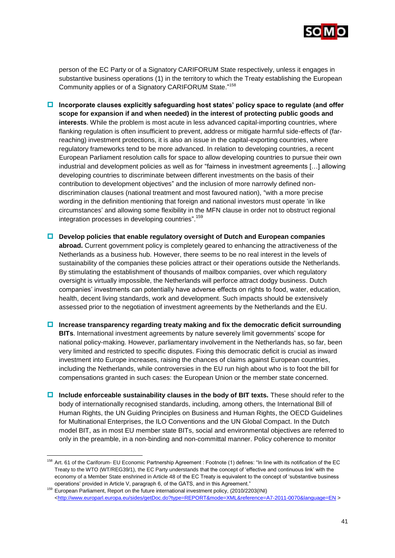

person of the EC Party or of a Signatory CARIFORUM State respectively, unless it engages in substantive business operations (1) in the territory to which the Treaty establishing the European Community applies or of a Signatory CARIFORUM State." 158

- **Incorporate clauses explicitly safeguarding host states" policy space to regulate (and offer scope for expansion if and when needed) in the interest of protecting public goods and interests**. While the problem is most acute in less advanced capital-importing countries, where flanking regulation is often insufficient to prevent, address or mitigate harmful side-effects of (farreaching) investment protections, it is also an issue in the capital-exporting countries, where regulatory frameworks tend to be more advanced. In relation to developing countries, a recent European Parliament resolution calls for space to allow developing countries to pursue their own industrial and development policies as well as for "fairness in investment agreements […] allowing developing countries to discriminate between different investments on the basis of their contribution to development objectives" and the inclusion of more narrowly defined nondiscrimination clauses (national treatment and most favoured nation), "with a more precise wording in the definition mentioning that foreign and national investors must operate "in like circumstances" and allowing some flexibility in the MFN clause in order not to obstruct regional integration processes in developing countries".<sup>159</sup>
- **Develop policies that enable regulatory oversight of Dutch and European companies abroad.** Current government policy is completely geared to enhancing the attractiveness of the Netherlands as a business hub. However, there seems to be no real interest in the levels of sustainability of the companies these policies attract or their operations outside the Netherlands. By stimulating the establishment of thousands of mailbox companies, over which regulatory oversight is virtually impossible, the Netherlands will perforce attract dodgy business. Dutch companies" investments can potentially have adverse effects on rights to food, water, education, health, decent living standards, work and development. Such impacts should be extensively assessed prior to the negotiation of investment agreements by the Netherlands and the EU.
- **Increase transparency regarding treaty making and fix the democratic deficit surrounding BITs**. International investment agreements by nature severely limit governments" scope for national policy-making. However, parliamentary involvement in the Netherlands has, so far, been very limited and restricted to specific disputes. Fixing this democratic deficit is crucial as inward investment into Europe increases, raising the chances of claims against European countries, including the Netherlands, while controversies in the EU run high about who is to foot the bill for compensations granted in such cases: the European Union or the member state concerned.
- **Include enforceable sustainability clauses in the body of BIT texts.** These should refer to the body of internationally recognised standards, including, among others, the International Bill of Human Rights, the UN Guiding Principles on Business and Human Rights, the OECD Guidelines for Multinational Enterprises, the ILO Conventions and the UN Global Compact. In the Dutch model BIT, as in most EU member state BITs, social and environmental objectives are referred to only in the preamble, in a non-binding and non-committal manner. Policy coherence to monitor

<sup>158</sup> Art. 61 of the Cariforum- EU Economic Partnership Agreement : Footnote (1) defines: "In line with its notification of the EC Treaty to the WTO (WT/REG39/1), the EC Party understands that the concept of "effective and continuous link" with the economy of a Member State enshrined in Article 48 of the EC Treaty is equivalent to the concept of "substantive business operations" provided in Article V, paragraph 6, of the GATS, and in this Agreement."

<sup>159</sup> European Parliament, Report on the future international investment policy, (2010/2203(INI) [<http://www.europarl.europa.eu/sides/getDoc.do?type=REPORT&mode=XML&reference=A7-2011-0070&language=EN](http://www.europarl.europa.eu/sides/getDoc.do?type=REPORT&mode=XML&reference=A7-2011-0070&language=EN) >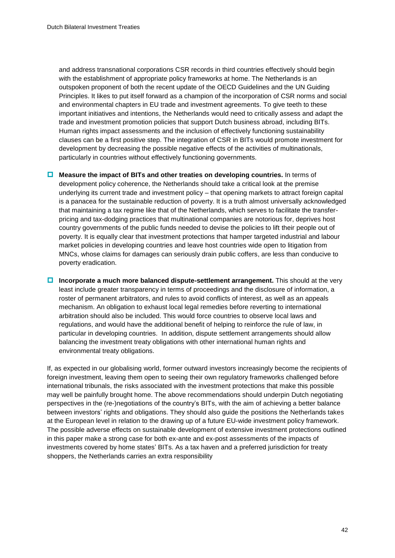and address transnational corporations CSR records in third countries effectively should begin with the establishment of appropriate policy frameworks at home. The Netherlands is an outspoken proponent of both the recent update of the OECD Guidelines and the UN Guiding Principles. It likes to put itself forward as a champion of the incorporation of CSR norms and social and environmental chapters in EU trade and investment agreements. To give teeth to these important initiatives and intentions, the Netherlands would need to critically assess and adapt the trade and investment promotion policies that support Dutch business abroad, including BITs. Human rights impact assessments and the inclusion of effectively functioning sustainability clauses can be a first positive step. The integration of CSR in BITs would promote investment for development by decreasing the possible negative effects of the activities of multinationals, particularly in countries without effectively functioning governments.

- **Measure the impact of BITs and other treaties on developing countries.** In terms of development policy coherence, the Netherlands should take a critical look at the premise underlying its current trade and investment policy – that opening markets to attract foreign capital is a panacea for the sustainable reduction of poverty. It is a truth almost universally acknowledged that maintaining a tax regime like that of the Netherlands, which serves to facilitate the transferpricing and tax-dodging practices that multinational companies are notorious for, deprives host country governments of the public funds needed to devise the policies to lift their people out of poverty. It is equally clear that investment protections that hamper targeted industrial and labour market policies in developing countries and leave host countries wide open to litigation from MNCs, whose claims for damages can seriously drain public coffers, are less than conducive to poverty eradication.
- **Incorporate a much more balanced dispute-settlement arrangement.** This should at the very least include greater transparency in terms of proceedings and the disclosure of information, a roster of permanent arbitrators, and rules to avoid conflicts of interest, as well as an appeals mechanism. An obligation to exhaust local legal remedies before reverting to international arbitration should also be included. This would force countries to observe local laws and regulations, and would have the additional benefit of helping to reinforce the rule of law, in particular in developing countries. In addition, dispute settlement arrangements should allow balancing the investment treaty obligations with other international human rights and environmental treaty obligations.

If, as expected in our globalising world, former outward investors increasingly become the recipients of foreign investment, leaving them open to seeing their own regulatory frameworks challenged before international tribunals, the risks associated with the investment protections that make this possible may well be painfully brought home. The above recommendations should underpin Dutch negotiating perspectives in the (re-)negotiations of the country"s BITs, with the aim of achieving a better balance between investors" rights and obligations. They should also guide the positions the Netherlands takes at the European level in relation to the drawing up of a future EU-wide investment policy framework. The possible adverse effects on sustainable development of extensive investment protections outlined in this paper make a strong case for both ex-ante and ex-post assessments of the impacts of investments covered by home states" BITs. As a tax haven and a preferred jurisdiction for treaty shoppers, the Netherlands carries an extra responsibility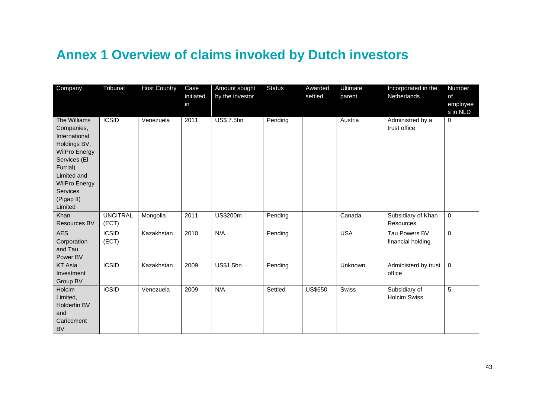## **Annex 1 Overview of claims invoked by Dutch investors**

<span id="page-44-0"></span>

| Company                                                                                                                                                                                     | Tribunal                 | <b>Host Country</b> | Case<br>initiated<br>in | Amount sought<br>by the investor | <b>Status</b> | Awarded<br>settled | Ultimate<br>parent | Incorporated in the<br>Netherlands     | Number<br>of<br>employee<br>s in NLD |
|---------------------------------------------------------------------------------------------------------------------------------------------------------------------------------------------|--------------------------|---------------------|-------------------------|----------------------------------|---------------|--------------------|--------------------|----------------------------------------|--------------------------------------|
| The Williams<br>Companies,<br>International<br>Holdings BV,<br><b>WilPro Energy</b><br>Services (El<br>Furrial)<br>Limited and<br><b>WilPro Energy</b><br>Services<br>(Pigap II)<br>Limited | <b>ICSID</b>             | Venezuela           | 2011                    | <b>US\$7.5bn</b>                 | Pending       |                    | Austria            | Administred by a<br>trust office       | $\mathbf 0$                          |
| Khan<br>Resources BV                                                                                                                                                                        | <b>UNCITRAL</b><br>(ECT) | Mongolia            | 2011                    | <b>US\$200m</b>                  | Pending       |                    | Canada             | Subsidiary of Khan<br><b>Resources</b> | $\mathbf 0$                          |
| <b>AES</b><br>Corporation<br>and Tau<br>Power BV                                                                                                                                            | <b>ICSID</b><br>(ECT)    | Kazakhstan          | 2010                    | N/A                              | Pending       |                    | <b>USA</b>         | Tau Powers BV<br>financial holding     | $\mathbf 0$                          |
| <b>KT Asia</b><br>Investment<br>Group BV                                                                                                                                                    | <b>ICSID</b>             | Kazakhstan          | 2009                    | <b>US\$1,5bn</b>                 | Pending       |                    | Unknown            | Administerd by trust<br>office         | $\Omega$                             |
| Holcim<br>Limited,<br>Holderfin BV<br>and<br>Caricement<br><b>BV</b>                                                                                                                        | <b>ICSID</b>             | Venezuela           | 2009                    | N/A                              | Settled       | <b>US\$650</b>     | <b>Swiss</b>       | Subsidiary of<br><b>Holcim Swiss</b>   | 5                                    |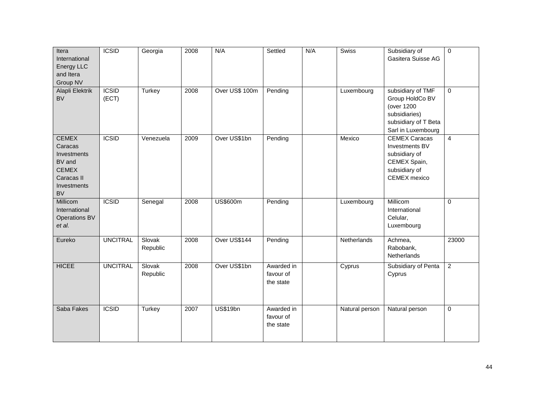| Itera<br>International<br>Energy LLC<br>and Itera<br>Group NV                                              | <b>ICSID</b>          | Georgia            | 2008 | N/A             | Settled                              | N/A | <b>Swiss</b>   | Subsidiary of<br>Gasitera Suisse AG                                                                               | $\overline{0}$ |
|------------------------------------------------------------------------------------------------------------|-----------------------|--------------------|------|-----------------|--------------------------------------|-----|----------------|-------------------------------------------------------------------------------------------------------------------|----------------|
| Alapli Elektrik<br><b>BV</b>                                                                               | <b>ICSID</b><br>(ECT) | Turkey             | 2008 | Over US\$ 100m  | Pending                              |     | Luxembourg     | subsidiary of TMF<br>Group HoldCo BV<br>(over 1200<br>subsidiaries)<br>subsidiary of T Beta<br>Sarl in Luxembourg | $\Omega$       |
| <b>CEMEX</b><br>Caracas<br>Investments<br>BV and<br><b>CEMEX</b><br>Caracas II<br>Investments<br><b>BV</b> | <b>ICSID</b>          | Venezuela          | 2009 | Over US\$1bn    | Pending                              |     | Mexico         | <b>CEMEX Caracas</b><br>Investments BV<br>subsidiary of<br>CEMEX Spain,<br>subsidiary of<br>CEMEX mexico          | $\overline{4}$ |
| Millicom<br>International<br><b>Operations BV</b><br>et al.                                                | <b>ICSID</b>          | Senegal            | 2008 | <b>US\$600m</b> | Pending                              |     | Luxembourg     | Millicom<br>International<br>Celular,<br>Luxembourg                                                               | $\mathbf 0$    |
| Eureko                                                                                                     | <b>UNCITRAL</b>       | Slovak<br>Republic | 2008 | Over US\$144    | Pending                              |     | Netherlands    | Achmea,<br>Rabobank,<br>Netherlands                                                                               | 23000          |
| <b>HICEE</b>                                                                                               | <b>UNCITRAL</b>       | Slovak<br>Republic | 2008 | Over US\$1bn    | Awarded in<br>favour of<br>the state |     | Cyprus         | Subsidiary of Penta<br>Cyprus                                                                                     | $\overline{2}$ |
| Saba Fakes                                                                                                 | <b>ICSID</b>          | <b>Turkey</b>      | 2007 | <b>US\$19bn</b> | Awarded in<br>favour of<br>the state |     | Natural person | Natural person                                                                                                    | $\mathbf 0$    |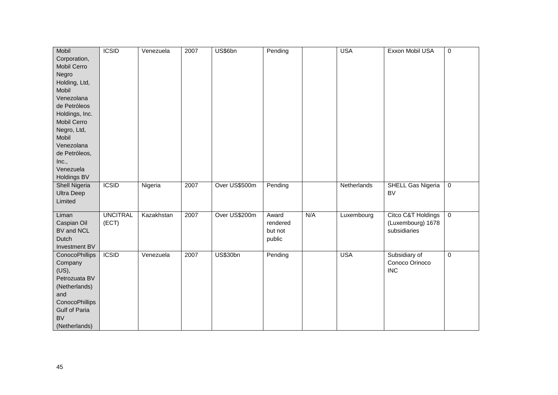| Mobil                 | <b>ICSID</b>    | Venezuela  | 2007 | US\$6bn         | Pending  |     | <b>USA</b>  | Exxon Mobil USA          | $\pmb{0}$      |
|-----------------------|-----------------|------------|------|-----------------|----------|-----|-------------|--------------------------|----------------|
| Corporation,          |                 |            |      |                 |          |     |             |                          |                |
| Mobil Cerro           |                 |            |      |                 |          |     |             |                          |                |
| Negro                 |                 |            |      |                 |          |     |             |                          |                |
| Holding, Ltd,         |                 |            |      |                 |          |     |             |                          |                |
| Mobil                 |                 |            |      |                 |          |     |             |                          |                |
| Venezolana            |                 |            |      |                 |          |     |             |                          |                |
| de Petróleos          |                 |            |      |                 |          |     |             |                          |                |
| Holdings, Inc.        |                 |            |      |                 |          |     |             |                          |                |
| Mobil Cerro           |                 |            |      |                 |          |     |             |                          |                |
| Negro, Ltd,           |                 |            |      |                 |          |     |             |                          |                |
| Mobil                 |                 |            |      |                 |          |     |             |                          |                |
|                       |                 |            |      |                 |          |     |             |                          |                |
| Venezolana            |                 |            |      |                 |          |     |             |                          |                |
| de Petróleos,         |                 |            |      |                 |          |     |             |                          |                |
| Inc.,                 |                 |            |      |                 |          |     |             |                          |                |
| Venezuela             |                 |            |      |                 |          |     |             |                          |                |
| Holdings BV           |                 |            |      |                 |          |     |             |                          |                |
| <b>Shell Nigeria</b>  | <b>ICSID</b>    | Nigeria    | 2007 | Over US\$500m   | Pending  |     | Netherlands | <b>SHELL Gas Nigeria</b> | $\overline{0}$ |
| <b>Ultra Deep</b>     |                 |            |      |                 |          |     |             | <b>BV</b>                |                |
| Limited               |                 |            |      |                 |          |     |             |                          |                |
| Liman                 | <b>UNCITRAL</b> | Kazakhstan | 2007 | Over US\$200m   | Award    | N/A | Luxembourg  | Citco C&T Holdings       | $\overline{0}$ |
| Caspian Oil           | (ECT)           |            |      |                 | rendered |     |             | (Luxembourg) 1678        |                |
| BV and NCL            |                 |            |      |                 | but not  |     |             | subsidiaries             |                |
| Dutch                 |                 |            |      |                 | public   |     |             |                          |                |
| Investment BV         |                 |            |      |                 |          |     |             |                          |                |
| <b>ConocoPhillips</b> | <b>ICSID</b>    | Venezuela  | 2007 | <b>US\$30bn</b> | Pending  |     | <b>USA</b>  | Subsidiary of            | $\mathbf 0$    |
| Company               |                 |            |      |                 |          |     |             | Conoco Orinoco           |                |
| $(US)$ ,              |                 |            |      |                 |          |     |             | <b>INC</b>               |                |
| Petrozuata BV         |                 |            |      |                 |          |     |             |                          |                |
| (Netherlands)         |                 |            |      |                 |          |     |             |                          |                |
| and                   |                 |            |      |                 |          |     |             |                          |                |
| ConocoPhillips        |                 |            |      |                 |          |     |             |                          |                |
| Gulf of Paria         |                 |            |      |                 |          |     |             |                          |                |
| <b>BV</b>             |                 |            |      |                 |          |     |             |                          |                |
|                       |                 |            |      |                 |          |     |             |                          |                |
| (Netherlands)         |                 |            |      |                 |          |     |             |                          |                |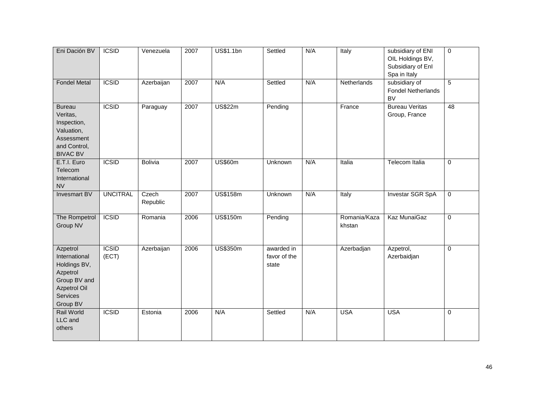| Eni Dación BV                                                                                                        | <b>ICSID</b>          | Venezuela         | 2007 | <b>US\$1.1bn</b> | Settled                             | N/A | Italy                  | subsidiary of ENI<br>OIL Holdings BV,<br>Subsidiary of Enl<br>Spa in Italy | $\mathbf 0$ |
|----------------------------------------------------------------------------------------------------------------------|-----------------------|-------------------|------|------------------|-------------------------------------|-----|------------------------|----------------------------------------------------------------------------|-------------|
| <b>Fondel Metal</b>                                                                                                  | <b>ICSID</b>          | Azerbaijan        | 2007 | N/A              | Settled                             | N/A | Netherlands            | subsidiary of<br><b>Fondel Netherlands</b><br><b>BV</b>                    | 5           |
| <b>Bureau</b><br>Veritas,<br>Inspection,<br>Valuation,<br>Assessment<br>and Control,<br><b>BIVAC BV</b>              | <b>ICSID</b>          | Paraguay          | 2007 | <b>US\$22m</b>   | Pending                             |     | France                 | <b>Bureau Veritas</b><br>Group, France                                     | 48          |
| E.T.I. Euro<br>Telecom<br>International<br><b>NV</b>                                                                 | <b>ICSID</b>          | <b>Bolivia</b>    | 2007 | <b>US\$60m</b>   | Unknown                             | N/A | Italia                 | <b>Telecom Italia</b>                                                      | $\mathbf 0$ |
| <b>Invesmart BV</b>                                                                                                  | <b>UNCITRAL</b>       | Czech<br>Republic | 2007 | <b>US\$158m</b>  | Unknown                             | N/A | Italy                  | <b>Investar SGR SpA</b>                                                    | $\mathbf 0$ |
| The Rompetrol<br>Group NV                                                                                            | <b>ICSID</b>          | Romania           | 2006 | <b>US\$150m</b>  | Pending                             |     | Romania/Kaza<br>khstan | Kaz MunaiGaz                                                               | $\Omega$    |
| Azpetrol<br>International<br>Holdings BV,<br>Azpetrol<br>Group BV and<br><b>Azpetrol Oil</b><br>Services<br>Group BV | <b>ICSID</b><br>(ECT) | Azerbaijan        | 2006 | <b>US\$350m</b>  | awarded in<br>favor of the<br>state |     | Azerbadjan             | Azpetrol,<br>Azerbaidjan                                                   | $\mathbf 0$ |
| <b>Rail World</b><br>LLC and<br>others                                                                               | <b>ICSID</b>          | Estonia           | 2006 | N/A              | Settled                             | N/A | <b>USA</b>             | <b>USA</b>                                                                 | $\mathbf 0$ |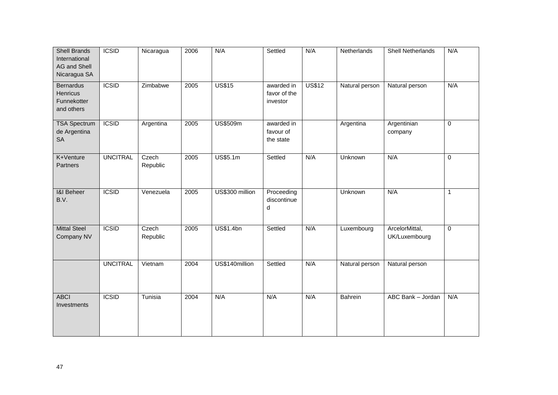| <b>Shell Brands</b><br>International<br>AG and Shell<br>Nicaragua SA | <b>ICSID</b>    | Nicaragua         | 2006 | N/A              | Settled                                | N/A           | Netherlands    | <b>Shell Netherlands</b>        | N/A          |
|----------------------------------------------------------------------|-----------------|-------------------|------|------------------|----------------------------------------|---------------|----------------|---------------------------------|--------------|
| <b>Bernardus</b><br>Henricus<br>Funnekotter<br>and others            | <b>ICSID</b>    | Zimbabwe          | 2005 | <b>US\$15</b>    | awarded in<br>favor of the<br>investor | <b>US\$12</b> | Natural person | Natural person                  | N/A          |
| <b>TSA Spectrum</b><br>de Argentina<br><b>SA</b>                     | <b>ICSID</b>    | Argentina         | 2005 | US\$509m         | awarded in<br>favour of<br>the state   |               | Argentina      | Argentinian<br>company          | $\mathbf 0$  |
| K+Venture<br>Partners                                                | <b>UNCITRAL</b> | Czech<br>Republic | 2005 | US\$5.1m         | Settled                                | N/A           | Unknown        | N/A                             | $\mathbf 0$  |
| <b>1&amp;I Beheer</b><br>B.V.                                        | <b>ICSID</b>    | Venezuela         | 2005 | US\$300 million  | Proceeding<br>discontinue<br>d         |               | Unknown        | N/A                             | $\mathbf{1}$ |
| <b>Mittal Steel</b><br>Company NV                                    | <b>ICSID</b>    | Czech<br>Republic | 2005 | <b>US\$1.4bn</b> | Settled                                | N/A           | Luxembourg     | ArcelorMittal,<br>UK/Luxembourg | $\mathbf 0$  |
|                                                                      | <b>UNCITRAL</b> | Vietnam           | 2004 | US\$140million   | Settled                                | N/A           | Natural person | Natural person                  |              |
| <b>ABCI</b><br>Investments                                           | <b>ICSID</b>    | Tunisia           | 2004 | N/A              | N/A                                    | N/A           | Bahrein        | ABC Bank - Jordan               | N/A          |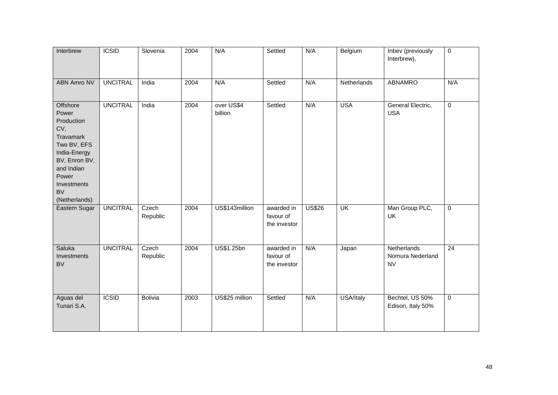| Interbrew                                                                                                                                                               | <b>ICSID</b>    | Slovenia          | 2004 | N/A                   | Settled                                 | N/A           | Belgium     | Inbev (previously<br>Interbrew),             | $\overline{0}$ |
|-------------------------------------------------------------------------------------------------------------------------------------------------------------------------|-----------------|-------------------|------|-----------------------|-----------------------------------------|---------------|-------------|----------------------------------------------|----------------|
| <b>ABN Amro NV</b>                                                                                                                                                      | <b>UNCITRAL</b> | India             | 2004 | N/A                   | Settled                                 | N/A           | Netherlands | <b>ABNAMRO</b>                               | N/A            |
| Offshore<br>Power<br>Production<br>CV,<br>Travamark<br>Two BV, EFS<br>India-Energy<br>BV, Enron BV,<br>and Indian<br>Power<br>Investments<br><b>BV</b><br>(Netherlands) | <b>UNCITRAL</b> | India             | 2004 | over US\$4<br>billion | Settled                                 | N/A           | <b>USA</b>  | General Electric,<br><b>USA</b>              | $\overline{0}$ |
| Eastern Sugar                                                                                                                                                           | <b>UNCITRAL</b> | Czech<br>Republic | 2004 | US\$143million        | awarded in<br>favour of<br>the investor | <b>US\$26</b> | UK          | Man Group PLC,<br><b>UK</b>                  | $\overline{0}$ |
| Saluka<br>Investments<br><b>BV</b>                                                                                                                                      | <b>UNCITRAL</b> | Czech<br>Republic | 2004 | US\$1.25bn            | awarded in<br>favour of<br>the investor | N/A           | Japan       | Netherlands<br>Nomura Nederland<br><b>NV</b> | 24             |
| Aguas del<br>Tunari S.A.                                                                                                                                                | <b>ICSID</b>    | <b>Bolivia</b>    | 2003 | US\$25 million        | Settled                                 | N/A           | USA/Italy   | Bechtel, US 50%<br>Edison, Italy 50%         | $\overline{0}$ |